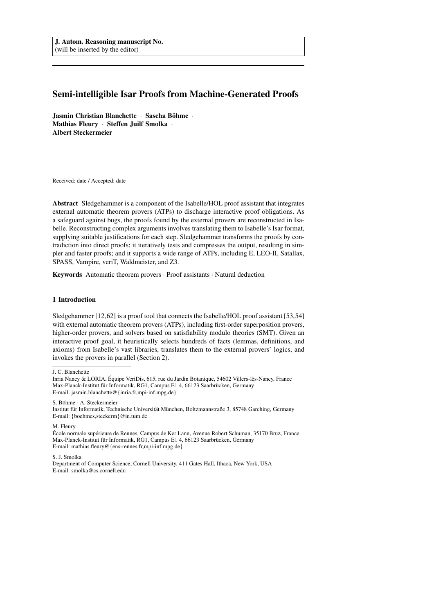## Semi-intelligible Isar Proofs from Machine-Generated Proofs

Jasmin Christian Blanchette · Sascha Böhme · Mathias Fleury · Steffen Juilf Smolka · Albert Steckermeier

Received: date / Accepted: date

Abstract Sledgehammer is a component of the Isabelle/HOL proof assistant that integrates external automatic theorem provers (ATPs) to discharge interactive proof obligations. As a safeguard against bugs, the proofs found by the external provers are reconstructed in Isabelle. Reconstructing complex arguments involves translating them to Isabelle's Isar format, supplying suitable justifications for each step. Sledgehammer transforms the proofs by contradiction into direct proofs; it iteratively tests and compresses the output, resulting in simpler and faster proofs; and it supports a wide range of ATPs, including E, LEO-II, Satallax, SPASS, Vampire, veriT, Waldmeister, and Z3.

Keywords Automatic theorem provers · Proof assistants · Natural deduction

## 1 Introduction

Sledgehammer [\[12](#page-41-0)[,62\]](#page-43-0) is a proof tool that connects the Isabelle/HOL proof assistant [\[53,](#page-43-1)[54\]](#page-43-2) with external automatic theorem provers (ATPs), including first-order superposition provers, higher-order provers, and solvers based on satisfiability modulo theories (SMT). Given an interactive proof goal, it heuristically selects hundreds of facts (lemmas, definitions, and axioms) from Isabelle's vast libraries, translates them to the external provers' logics, and invokes the provers in parallel (Section [2\)](#page-3-0).

S. Böhme · A. Steckermeier

Institut für Informatik, Technische Universität München, Boltzmannstraße 3, 85748 Garching, Germany E-mail: {boehmes,steckerm}@in.tum.de

M. Fleury

École normale supérieure de Rennes, Campus de Ker Lann, Avenue Robert Schuman, 35170 Bruz, France Max-Planck-Institut für Informatik, RG1, Campus E1 4, 66123 Saarbrücken, Germany E-mail: mathias.fleury@{ens-rennes.fr,mpi-inf.mpg.de}

S. J. Smolka

Department of Computer Science, Cornell University, 411 Gates Hall, Ithaca, New York, USA E-mail: smolka@cs.cornell.edu

J. C. Blanchette

Inria Nancy & LORIA, Équipe VeriDis, 615, rue du Jardin Botanique, 54602 Villers-lès-Nancy, France Max-Planck-Institut für Informatik, RG1, Campus E1 4, 66123 Saarbrücken, Germany E-mail: jasmin.blanchette@{inria.fr,mpi-inf.mpg.de}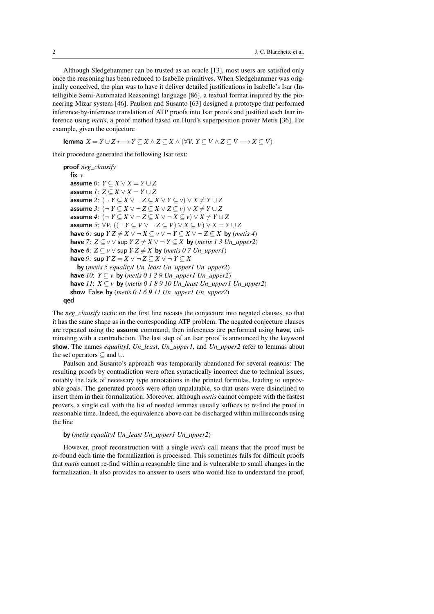Although Sledgehammer can be trusted as an oracle [\[13\]](#page-41-1), most users are satisfied only once the reasoning has been reduced to Isabelle primitives. When Sledgehammer was originally conceived, the plan was to have it deliver detailed justifications in Isabelle's Isar (Intelligible Semi-Automated Reasoning) language [\[86\]](#page-44-0), a textual format inspired by the pioneering Mizar system [\[46\]](#page-43-3). Paulson and Susanto [\[63\]](#page-43-4) designed a prototype that performed inference-by-inference translation of ATP proofs into Isar proofs and justified each Isar inference using *metis*, a proof method based on Hurd's superposition prover Metis [\[36\]](#page-42-0). For example, given the conjecture

**lemma**  $X = Y \cup Z \longleftrightarrow Y \subseteq X \land Z \subseteq X \land (\forall V, Y \subseteq V \land Z \subseteq V \longrightarrow X \subseteq V)$ 

their procedure generated the following Isar text:

proof *neg\_clausify* fix *v* assume  $0: Y \subseteq X \vee X = Y \cup Z$ assume *1*:  $Z \subseteq X \vee X = Y \cup Z$ assume 2:  $(\neg Y \subseteq X \lor \neg Z \subseteq X \lor Y \subseteq v) \lor X \neq Y \cup Z$ assume 3:  $(¬ Y ⊆ X ∨ ¬ Z ⊆ X ∨ Z ⊆ v) ∨ X ≠ Y ∪ Z$ assume 4:  $(\neg Y \subseteq X \lor \neg Z \subseteq X \lor \neg X \subseteq v) \lor X \neq Y \cup Z$ assume 5: ∀*V*.  $((¬Y ⊆ V ∨ ¬Z ⊆ V) ∨ X ⊆ V) ∨ X = Y ∪ Z$ have 6: sup  $YZ \neq X \vee \neg X \subseteq v \vee \neg Y \subseteq X \vee \neg Z \subseteq X$  by (*metis 4*) have *7*: *Z* ⊆ *v* ∨ sup *Y Z*  $\neq$  *X*  $\vee$   $\neg$  *Y* ⊆ *X* by (*metis 1 3 Un\_upper2*) have *8*: *Z* ⊆ *v* ∨ sup *Y Z*  $\neq$  *X* by (*metis 0 7 Un\_upper1*) have 9: sup  $YZ = X \vee \neg Z \subseteq X \vee \neg Y \subseteq X$ by (*metis 5 equalityI Un\_least Un\_upper1 Un\_upper2*) have *10*:  $Y \subseteq v$  by (metis 0 1 2 9 Un\_upper1 Un\_upper2) have  $11: X \subseteq v$  by (metis 0 1 8 9 10 Un\_least Un\_upper1 Un\_upper2) show False by (*metis 0 1 6 9 11 Un\_upper1 Un\_upper2*) qed

The *neg\_clausify* tactic on the first line recasts the conjecture into negated clauses, so that it has the same shape as in the corresponding ATP problem. The negated conjecture clauses are repeated using the assume command; then inferences are performed using have, culminating with a contradiction. The last step of an Isar proof is announced by the keyword show. The names *equalityI*, *Un\_least*, *Un\_upper1*, and *Un\_upper2* refer to lemmas about the set operators ⊆ and ∪.

Paulson and Susanto's approach was temporarily abandoned for several reasons: The resulting proofs by contradiction were often syntactically incorrect due to technical issues, notably the lack of necessary type annotations in the printed formulas, leading to unprovable goals. The generated proofs were often unpalatable, so that users were disinclined to insert them in their formalization. Moreover, although *metis* cannot compete with the fastest provers, a single call with the list of needed lemmas usually suffices to re-find the proof in reasonable time. Indeed, the equivalence above can be discharged within milliseconds using the line

## by (*metis equalityI Un\_least Un\_upper1 Un\_upper2*)

However, proof reconstruction with a single *metis* call means that the proof must be re-found each time the formalization is processed. This sometimes fails for difficult proofs that *metis* cannot re-find within a reasonable time and is vulnerable to small changes in the formalization. It also provides no answer to users who would like to understand the proof,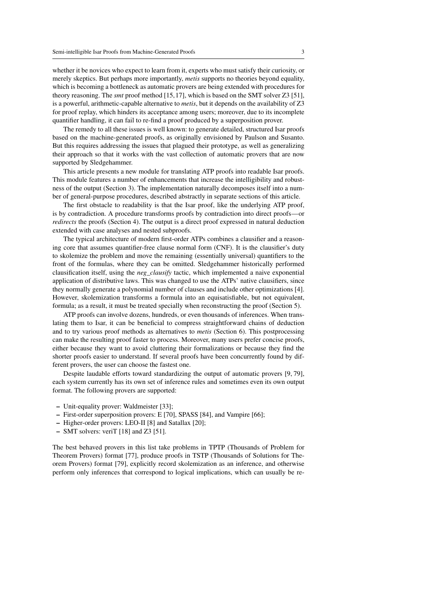whether it be novices who expect to learn from it, experts who must satisfy their curiosity, or merely skeptics. But perhaps more importantly, *metis* supports no theories beyond equality, which is becoming a bottleneck as automatic provers are being extended with procedures for theory reasoning. The *smt* proof method [\[15,](#page-42-1)[17\]](#page-42-2), which is based on the SMT solver Z3 [\[51\]](#page-43-5), is a powerful, arithmetic-capable alternative to *metis*, but it depends on the availability of Z3 for proof replay, which hinders its acceptance among users; moreover, due to its incomplete quantifier handling, it can fail to re-find a proof produced by a superposition prover.

The remedy to all these issues is well known: to generate detailed, structured Isar proofs based on the machine-generated proofs, as originally envisioned by Paulson and Susanto. But this requires addressing the issues that plagued their prototype, as well as generalizing their approach so that it works with the vast collection of automatic provers that are now supported by Sledgehammer.

This article presents a new module for translating ATP proofs into readable Isar proofs. This module features a number of enhancements that increase the intelligibility and robustness of the output (Section [3\)](#page-7-0). The implementation naturally decomposes itself into a number of general-purpose procedures, described abstractly in separate sections of this article.

The first obstacle to readability is that the Isar proof, like the underlying ATP proof, is by contradiction. A procedure transforms proofs by contradiction into direct proofs—or *redirects* the proofs (Section [4\)](#page-10-0). The output is a direct proof expressed in natural deduction extended with case analyses and nested subproofs.

The typical architecture of modern first-order ATPs combines a clausifier and a reasoning core that assumes quantifier-free clause normal form (CNF). It is the clausifier's duty to skolemize the problem and move the remaining (essentially universal) quantifiers to the front of the formulas, where they can be omitted. Sledgehammer historically performed clausification itself, using the *neg\_clausify* tactic, which implemented a naive exponential application of distributive laws. This was changed to use the ATPs' native clausifiers, since they normally generate a polynomial number of clauses and include other optimizations [\[4\]](#page-41-2). However, skolemization transforms a formula into an equisatisfiable, but not equivalent, formula; as a result, it must be treated specially when reconstructing the proof (Section [5\)](#page-21-0).

ATP proofs can involve dozens, hundreds, or even thousands of inferences. When translating them to Isar, it can be beneficial to compress straightforward chains of deduction and to try various proof methods as alternatives to *metis* (Section [6\)](#page-23-0). This postprocessing can make the resulting proof faster to process. Moreover, many users prefer concise proofs, either because they want to avoid cluttering their formalizations or because they find the shorter proofs easier to understand. If several proofs have been concurrently found by different provers, the user can choose the fastest one.

Despite laudable efforts toward standardizing the output of automatic provers [\[9,](#page-41-3) [79\]](#page-44-1), each system currently has its own set of inference rules and sometimes even its own output format. The following provers are supported:

- Unit-equality prover: Waldmeister [\[33\]](#page-42-3);
- First-order superposition provers: E [\[70\]](#page-43-6), SPASS [\[84\]](#page-44-2), and Vampire [\[66\]](#page-43-7);
- Higher-order provers: LEO-II [\[8\]](#page-41-4) and Satallax [\[20\]](#page-42-4);
- SMT solvers: veriT [\[18\]](#page-42-5) and Z3 [\[51\]](#page-43-5).

The best behaved provers in this list take problems in TPTP (Thousands of Problem for Theorem Provers) format [\[77\]](#page-43-8), produce proofs in TSTP (Thousands of Solutions for Theorem Provers) format [\[79\]](#page-44-1), explicitly record skolemization as an inference, and otherwise perform only inferences that correspond to logical implications, which can usually be re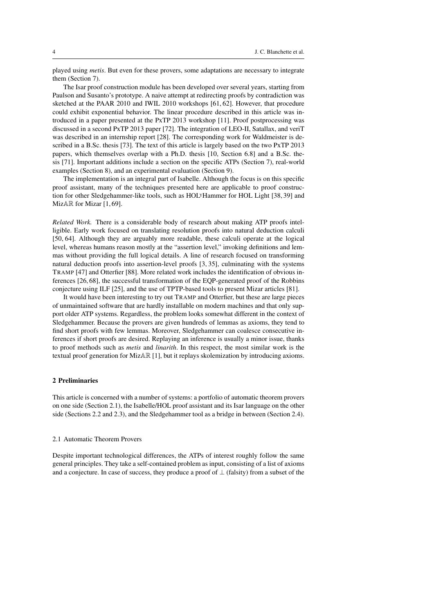played using *metis*. But even for these provers, some adaptations are necessary to integrate them (Section [7\)](#page-28-0).

The Isar proof construction module has been developed over several years, starting from Paulson and Susanto's prototype. A naive attempt at redirecting proofs by contradiction was sketched at the PAAR 2010 and IWIL 2010 workshops [\[61,](#page-43-9) [62\]](#page-43-0). However, that procedure could exhibit exponential behavior. The linear procedure described in this article was introduced in a paper presented at the PxTP 2013 workshop [\[11\]](#page-41-5). Proof postprocessing was discussed in a second PxTP 2013 paper [\[72\]](#page-43-10). The integration of LEO-II, Satallax, and veriT was described in an internship report [\[28\]](#page-42-6). The corresponding work for Waldmeister is described in a B.Sc. thesis [\[73\]](#page-43-11). The text of this article is largely based on the two PxTP 2013 papers, which themselves overlap with a Ph.D. thesis [\[10,](#page-41-6) Section 6.8] and a B.Sc. thesis [\[71\]](#page-43-12). Important additions include a section on the specific ATPs (Section [7\)](#page-28-0), real-world examples (Section [8\)](#page-35-0), and an experimental evaluation (Section [9\)](#page-38-0).

The implementation is an integral part of Isabelle. Although the focus is on this specific proof assistant, many of the techniques presented here are applicable to proof construction for other Sledgehammer-like tools, such as HOLYHammer for HOL Light [\[38,](#page-42-7) [39\]](#page-42-8) and Miz $AR$  for Mizar [\[1,](#page-41-7)69].

*Related Work.* There is a considerable body of research about making ATP proofs intelligible. Early work focused on translating resolution proofs into natural deduction calculi [\[50,](#page-43-14) [64\]](#page-43-15). Although they are arguably more readable, these calculi operate at the logical level, whereas humans reason mostly at the "assertion level," invoking definitions and lemmas without providing the full logical details. A line of research focused on transforming natural deduction proofs into assertion-level proofs [\[3,](#page-41-8) [35\]](#page-42-9), culminating with the systems TRAMP [\[47\]](#page-43-16) and Otterfier [\[88\]](#page-44-3). More related work includes the identification of obvious inferences [\[26,](#page-42-10) [68\]](#page-43-17), the successful transformation of the EQP-generated proof of the Robbins conjecture using ILF [\[25\]](#page-42-11), and the use of TPTP-based tools to present Mizar articles [\[81\]](#page-44-4).

It would have been interesting to try out TRAMP and Otterfier, but these are large pieces of unmaintained software that are hardly installable on modern machines and that only support older ATP systems. Regardless, the problem looks somewhat different in the context of Sledgehammer. Because the provers are given hundreds of lemmas as axioms, they tend to find short proofs with few lemmas. Moreover, Sledgehammer can coalesce consecutive inferences if short proofs are desired. Replaying an inference is usually a minor issue, thanks to proof methods such as *metis* and *linarith*. In this respect, the most similar work is the textual proof generation for MizAR [\[1\]](#page-41-7), but it replays skolemization by introducing axioms.

## <span id="page-3-0"></span>2 Preliminaries

This article is concerned with a number of systems: a portfolio of automatic theorem provers on one side (Section [2.1\)](#page-3-1), the Isabelle/HOL proof assistant and its Isar language on the other side (Sections [2.2](#page-4-0) and [2.3\)](#page-5-0), and the Sledgehammer tool as a bridge in between (Section [2.4\)](#page-7-1).

#### <span id="page-3-1"></span>2.1 Automatic Theorem Provers

Despite important technological differences, the ATPs of interest roughly follow the same general principles. They take a self-contained problem as input, consisting of a list of axioms and a conjecture. In case of success, they produce a proof of ⊥ (falsity) from a subset of the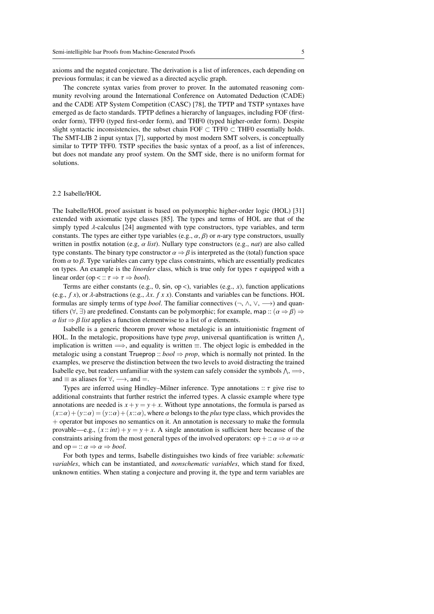axioms and the negated conjecture. The derivation is a list of inferences, each depending on previous formulas; it can be viewed as a directed acyclic graph.

The concrete syntax varies from prover to prover. In the automated reasoning community revolving around the International Conference on Automated Deduction (CADE) and the CADE ATP System Competition (CASC) [\[78\]](#page-44-5), the TPTP and TSTP syntaxes have emerged as de facto standards. TPTP defines a hierarchy of languages, including FOF (firstorder form), TFF0 (typed first-order form), and THF0 (typed higher-order form). Despite slight syntactic inconsistencies, the subset chain FOF  $\subset$  TFF0  $\subset$  THF0 essentially holds. The SMT-LIB 2 input syntax [\[7\]](#page-41-9), supported by most modern SMT solvers, is conceptually similar to TPTP TFF0. TSTP specifies the basic syntax of a proof, as a list of inferences, but does not mandate any proof system. On the SMT side, there is no uniform format for solutions.

#### <span id="page-4-0"></span>2.2 Isabelle/HOL

The Isabelle/HOL proof assistant is based on polymorphic higher-order logic (HOL) [\[31\]](#page-42-12) extended with axiomatic type classes [\[85\]](#page-44-6). The types and terms of HOL are that of the simply typed  $\lambda$ -calculus [\[24\]](#page-42-13) augmented with type constructors, type variables, and term constants. The types are either type variables (e.g.,  $\alpha$ ,  $\beta$ ) or *n*-ary type constructors, usually written in postfix notation (e.g, α *list*). Nullary type constructors (e.g., *nat*) are also called type constants. The binary type constructor  $\alpha \Rightarrow \beta$  is interpreted as the (total) function space from  $\alpha$  to  $\beta$ . Type variables can carry type class constraints, which are essentially predicates on types. An example is the *linorder* class, which is true only for types  $\tau$  equipped with a linear order (op <  $:: \tau \Rightarrow \tau \Rightarrow bool$ ).

Terms are either constants (e.g., 0, sin, op <), variables (e.g.,  $x$ ), function applications (e.g.,  $f(x)$ , or  $\lambda$ -abstractions (e.g.,  $\lambda x$ .  $f(x x)$ ). Constants and variables can be functions. HOL formulas are simply terms of type *bool*. The familiar connectives  $(\neg, \land, \lor, \longrightarrow)$  and quantifiers ( $\forall$ ,  $\exists$ ) are predefined. Constants can be polymorphic; for example, map ::  $(\alpha \Rightarrow \beta) \Rightarrow$  $\alpha$  *list*  $\Rightarrow \beta$  *list* applies a function elementwise to a list of  $\alpha$  elements.

Isabelle is a generic theorem prover whose metalogic is an intuitionistic fragment of HOL. In the metalogic, propositions have type *prop*, universal quantification is written  $\wedge$ , implication is written  $\implies$ , and equality is written  $\equiv$ . The object logic is embedded in the metalogic using a constant Trueprop ::  $bool \Rightarrow prop$ , which is normally not printed. In the examples, we preserve the distinction between the two levels to avoid distracting the trained Isabelle eye, but readers unfamiliar with the system can safely consider the symbols  $\wedge$ ,  $\Longrightarrow$ , and  $\equiv$  as aliases for  $\forall, \longrightarrow$ , and  $=$ .

Types are inferred using Hindley–Milner inference. Type annotations ::  $\tau$  give rise to additional constraints that further restrict the inferred types. A classic example where type annotations are needed is  $x + y = y + x$ . Without type annotations, the formula is parsed as  $(x::\alpha) + (y::\alpha) = (y::\alpha) + (x::\alpha)$ , where  $\alpha$  belongs to the *plus* type class, which provides the + operator but imposes no semantics on it. An annotation is necessary to make the formula provable—e.g.,  $(x::int) + y = y + x$ . A single annotation is sufficient here because of the constraints arising from the most general types of the involved operators: op + ::  $\alpha \Rightarrow \alpha \Rightarrow \alpha$ and  $op = :: \alpha \Rightarrow \alpha \Rightarrow bool.$ 

For both types and terms, Isabelle distinguishes two kinds of free variable: *schematic variables*, which can be instantiated, and *nonschematic variables*, which stand for fixed, unknown entities. When stating a conjecture and proving it, the type and term variables are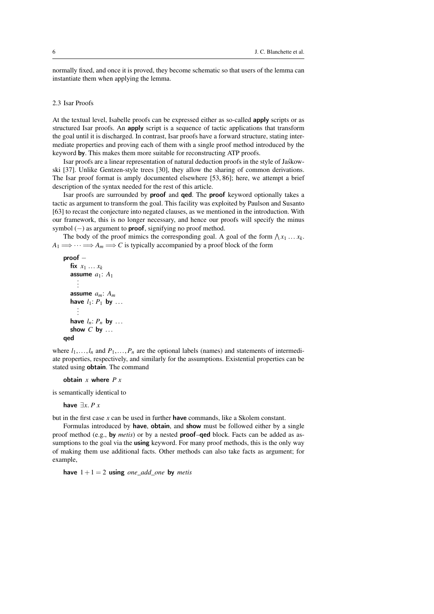normally fixed, and once it is proved, they become schematic so that users of the lemma can instantiate them when applying the lemma.

## <span id="page-5-0"></span>2.3 Isar Proofs

At the textual level, Isabelle proofs can be expressed either as so-called apply scripts or as structured Isar proofs. An apply script is a sequence of tactic applications that transform the goal until it is discharged. In contrast, Isar proofs have a forward structure, stating intermediate properties and proving each of them with a single proof method introduced by the keyword by. This makes them more suitable for reconstructing ATP proofs.

Isar proofs are a linear representation of natural deduction proofs in the style of Jaskow- ´ ski [\[37\]](#page-42-14). Unlike Gentzen-style trees [\[30\]](#page-42-15), they allow the sharing of common derivations. The Isar proof format is amply documented elsewhere [\[53,](#page-43-1) [86\]](#page-44-0); here, we attempt a brief description of the syntax needed for the rest of this article.

Isar proofs are surrounded by proof and qed. The proof keyword optionally takes a tactic as argument to transform the goal. This facility was exploited by Paulson and Susanto [\[63\]](#page-43-4) to recast the conjecture into negated clauses, as we mentioned in the introduction. With our framework, this is no longer necessary, and hence our proofs will specify the minus symbol ( $-$ ) as argument to **proof**, signifying no proof method.

The body of the proof mimics the corresponding goal. A goal of the form  $\bigwedge x_1 \dots x_k$ .  $A_1 \Longrightarrow \cdots \Longrightarrow A_m \Longrightarrow C$  is typically accompanied by a proof block of the form

```
proof −
  fix x_1 ... x_kassume a_1: A_1.
.
.
  assume am: Am
   have l_1: P_1 by ...
     .
     .
  have l_n: P_n by ...
  show C by \dotsqed
```
where  $l_1, \ldots, l_n$  and  $P_1, \ldots, P_n$  are the optional labels (names) and statements of intermediate properties, respectively, and similarly for the assumptions. Existential properties can be stated using obtain. The command

obtain *x* where *P x*

is semantically identical to

have <sup>∃</sup>*x*. *P x*

but in the first case *x* can be used in further have commands, like a Skolem constant.

Formulas introduced by have, obtain, and show must be followed either by a single proof method (e.g., by *metis*) or by a nested proof-qed block. Facts can be added as assumptions to the goal via the **using** keyword. For many proof methods, this is the only way of making them use additional facts. Other methods can also take facts as argument; for example,

have  $1+1=2$  using *one\_add\_one* by *metis*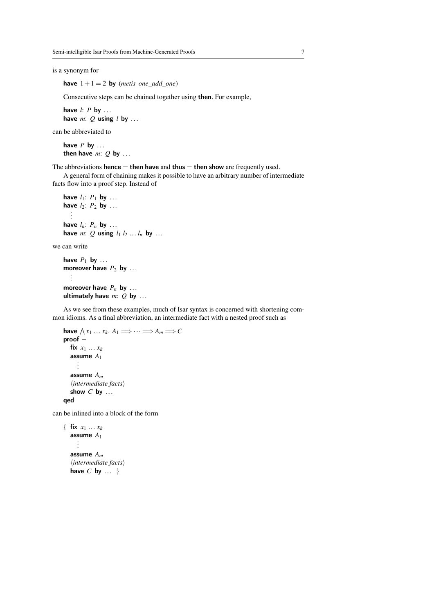is a synonym for

have  $1+1=2$  by (*metis one\_add\_one*)

Consecutive steps can be chained together using then. For example,

have *l*: *P* by . . . have  $m: Q$  using  $l$  by ...

can be abbreviated to

have  $P$  by  $\dots$ then have  $m: Q$  by ...

The abbreviations **hence**  $=$  then have and thus  $=$  then show are frequently used.

A general form of chaining makes it possible to have an arbitrary number of intermediate facts flow into a proof step. Instead of

```
have l_1: P_1 by ...
have l_2: P_2 by ...
   .
   .
have l_n: P_n by ...
have m: Q using l_1 l_2 ... l_n by ...
```
we can write

```
have P_1 by ...
moreover have P_2 by \dots.
   .
```
moreover have  $P_n$  by ... ultimately have *m*: *Q* by . . .

As we see from these examples, much of Isar syntax is concerned with shortening common idioms. As a final abbreviation, an intermediate fact with a nested proof such as

```
have \bigwedge x_1 \dots x_k. A_1 \Longrightarrow \cdots \Longrightarrow A_m \Longrightarrow Cproof –
   fix x_1 ... x_kassume A1
        .
.
.
   assume Am
    \langleintermediate facts\rangleshow C by ...
qed
```
can be inlined into a block of the form

```
{ fix x1 ... xk
  assume A1
     .
.
.
  assume Am
  hintermediate factsi
  have C by ... }
```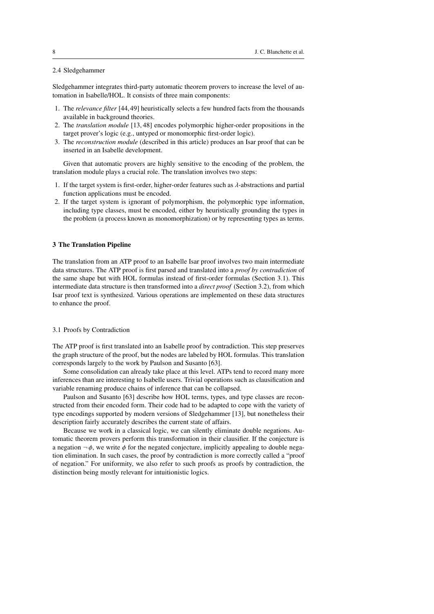## <span id="page-7-1"></span>2.4 Sledgehammer

Sledgehammer integrates third-party automatic theorem provers to increase the level of automation in Isabelle/HOL. It consists of three main components:

- 1. The *relevance filter* [\[44,](#page-42-16) [49\]](#page-43-18) heuristically selects a few hundred facts from the thousands available in background theories.
- 2. The *translation module* [\[13,](#page-41-1) [48\]](#page-43-19) encodes polymorphic higher-order propositions in the target prover's logic (e.g., untyped or monomorphic first-order logic).
- 3. The *reconstruction module* (described in this article) produces an Isar proof that can be inserted in an Isabelle development.

Given that automatic provers are highly sensitive to the encoding of the problem, the translation module plays a crucial role. The translation involves two steps:

- 1. If the target system is first-order, higher-order features such as  $\lambda$ -abstractions and partial function applications must be encoded.
- 2. If the target system is ignorant of polymorphism, the polymorphic type information, including type classes, must be encoded, either by heuristically grounding the types in the problem (a process known as monomorphization) or by representing types as terms.

#### <span id="page-7-0"></span>3 The Translation Pipeline

The translation from an ATP proof to an Isabelle Isar proof involves two main intermediate data structures. The ATP proof is first parsed and translated into a *proof by contradiction* of the same shape but with HOL formulas instead of first-order formulas (Section [3.1\)](#page-7-2). This intermediate data structure is then transformed into a *direct proof* (Section [3.2\)](#page-8-0), from which Isar proof text is synthesized. Various operations are implemented on these data structures to enhance the proof.

#### <span id="page-7-2"></span>3.1 Proofs by Contradiction

The ATP proof is first translated into an Isabelle proof by contradiction. This step preserves the graph structure of the proof, but the nodes are labeled by HOL formulas. This translation corresponds largely to the work by Paulson and Susanto [\[63\]](#page-43-4).

Some consolidation can already take place at this level. ATPs tend to record many more inferences than are interesting to Isabelle users. Trivial operations such as clausification and variable renaming produce chains of inference that can be collapsed.

Paulson and Susanto [\[63\]](#page-43-4) describe how HOL terms, types, and type classes are reconstructed from their encoded form. Their code had to be adapted to cope with the variety of type encodings supported by modern versions of Sledgehammer [\[13\]](#page-41-1), but nonetheless their description fairly accurately describes the current state of affairs.

Because we work in a classical logic, we can silently eliminate double negations. Automatic theorem provers perform this transformation in their clausifier. If the conjecture is a negation  $\neg \phi$ , we write  $\phi$  for the negated conjecture, implicitly appealing to double negation elimination. In such cases, the proof by contradiction is more correctly called a "proof of negation." For uniformity, we also refer to such proofs as proofs by contradiction, the distinction being mostly relevant for intuitionistic logics.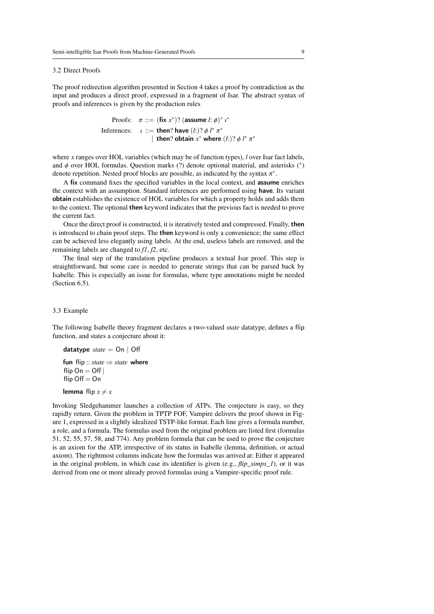#### <span id="page-8-0"></span>3.2 Direct Proofs

The proof redirection algorithm presented in Section [4](#page-10-0) takes a proof by contradiction as the input and produces a direct proof, expressed in a fragment of Isar. The abstract syntax of proofs and inferences is given by the production rules

> Proofs:  $\pi ::= (\textbf{fix } x^*)$ ? (**assume**  $l: \phi$ )\* ∗ Inferences:  $\iota ::= \text{then? have } (l:) ? \phi l^* \pi^*$ <br> **hen?** obtain  $r^*$  where | then? obtain  $x^*$  where  $(l: )$ ?  $\phi$  *l*\* ∗

where *x* ranges over HOL variables (which may be of function types), *l* over Isar fact labels, and  $\phi$  over HOL formulas. Question marks (?) denote optional material, and asterisks (\*) denote repetition. Nested proof blocks are possible, as indicated by the syntax  $\pi^*$ denote repetition. Nested proof blocks are possible, as indicated by the syntax  $\pi^*$ .

A fix command fixes the specified variables in the local context, and assume enriches the context with an assumption. Standard inferences are performed using have. Its variant obtain establishes the existence of HOL variables for which a property holds and adds them to the context. The optional then keyword indicates that the previous fact is needed to prove the current fact.

Once the direct proof is constructed, it is iteratively tested and compressed. Finally, then is introduced to chain proof steps. The **then** keyword is only a convenience; the same effect can be achieved less elegantly using labels. At the end, useless labels are removed, and the remaining labels are changed to *f1*, *f2*, etc.

The final step of the translation pipeline produces a textual Isar proof. This step is straightforward, but some care is needed to generate strings that can be parsed back by Isabelle. This is especially an issue for formulas, where type annotations might be needed (Section [6.5\)](#page-27-0).

#### 3.3 Example

The following Isabelle theory fragment declares a two-valued *state* datatype, defines a flip function, and states a conjecture about it:

```
datatype state = On | Off
fun flip :: state \Rightarrow state where
flip On = Offflip Off = On
```
**lemma** flip  $x \neq x$ 

Invoking Sledgehammer launches a collection of ATPs. The conjecture is easy, so they rapidly return. Given the problem in TPTP FOF, Vampire delivers the proof shown in Figure [1,](#page-9-0) expressed in a slightly idealized TSTP-like format. Each line gives a formula number, a role, and a formula. The formulas used from the original problem are listed first (formulas 51, 52, 55, 57, 58, and 774). Any problem formula that can be used to prove the conjecture is an axiom for the ATP, irrespective of its status in Isabelle (lemma, definition, or actual axiom). The rightmost columns indicate how the formulas was arrived at: Either it appeared in the original problem, in which case its identifier is given (e.g., *flip\_simps\_1*), or it was derived from one or more already proved formulas using a Vampire-specific proof rule.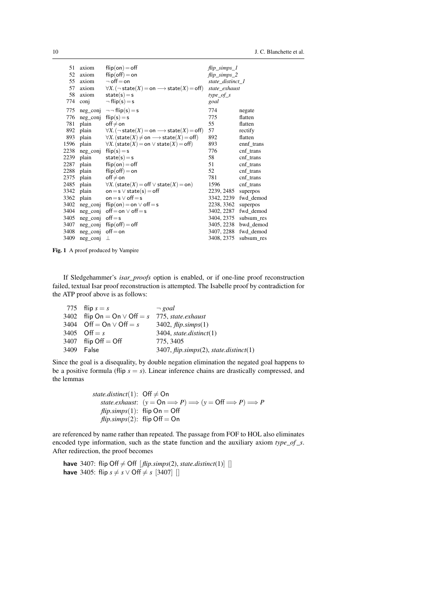| 51   | axiom               | $flip($ on $) =$ off                                                           | $flip\_simps_1$  |            |
|------|---------------------|--------------------------------------------------------------------------------|------------------|------------|
| 52   | axiom               | $flip(off) = on$                                                               | $flip\_simps_2$  |            |
| 55   | axiom               | $\neg$ off $=$ on                                                              | state_distinct_1 |            |
| 57   | axiom               | $\forall X. (\neg state(X) = \text{on} \longrightarrow state(X) = \text{off})$ | state_exhaust    |            |
| 58   | axiom               | $state(s) = s$                                                                 | $type_of_s$      |            |
| 774  | conj                | $\neg$ flip(s) = s                                                             | goal             |            |
| 775  | $neg_{\text{conj}}$ | $\neg \neg$ flip(s) = s                                                        | 774              | negate     |
| 776  | $neg_{\text{conj}}$ | $flip(s) = s$                                                                  | 775              | flatten    |
| 781  | plain               | $\mathsf{off} \neq \mathsf{on}$                                                | 55               | flatten    |
| 892  | plain               | $\forall X. (\neg state(X) = \text{on} \longrightarrow state(X) = \text{off})$ | 57               | rectify    |
| 893  | plain               | $\forall X.$ (state(X) $\neq$ on $\longrightarrow$ state(X) = off)             | 892              | flatten    |
| 1596 | plain               | $\forall X.$ (state(X) = on $\vee$ state(X) = off)                             | 893              | ennf_trans |
| 2238 | $neg\_conj$         | $flip(s) = s$                                                                  | 776              | cnf_trans  |
| 2239 | plain               | $state(s) = s$                                                                 | 58               | cnf_trans  |
| 2287 | plain               | $flip($ on $) =$ off                                                           | 51               | cnf_trans  |
| 2288 | plain               | $flip(off) = on$                                                               | 52               | cnf trans  |
| 2375 | plain               | $\mathsf{off} \neq \mathsf{on}$                                                | 781              | cnf_trans  |
| 2485 | plain               | $\forall X.$ (state(X) = off $\vee$ state(X) = on)                             | 1596             | cnf_trans  |
| 3342 | plain               | on = $s \vee$ state(s) = off                                                   | 2239, 2485       | superpos   |
| 3362 | plain               | on $=$ s $\vee$ off $=$ s                                                      | 3342, 2239       | fwd_demod  |
| 3402 | $neg_{\cong}$       | flip(on) = on $\vee$ off = s                                                   | 2238, 3362       | superpos   |
| 3404 | neg_conj            | $off = on \vee off = s$                                                        | 3402, 2287       | fwd_demod  |
| 3405 | $neg\_conj$         | $off = s$                                                                      | 3404, 2375       | subsum_res |
| 3407 | $neg\_conj$         | $flip(off) = off$                                                              | 3405, 2238       | bwd_demod  |
| 3408 | $neg_{\text{conj}}$ | $off = on$                                                                     | 3407, 2288       | fwd_demod  |
| 3409 | $neg_{conj}$        | ⊥                                                                              | 3408, 2375       | subsum_res |
|      |                     |                                                                                |                  |            |

<span id="page-9-0"></span>Fig. 1 A proof produced by Vampire

If Sledgehammer's *isar\_proofs* option is enabled, or if one-line proof reconstruction failed, textual Isar proof reconstruction is attempted. The Isabelle proof by contradiction for the ATP proof above is as follows:

|      | 775 flip $s = s$                                     | $\neg$ goal                               |
|------|------------------------------------------------------|-------------------------------------------|
|      | 3402 flip On = On $\vee$ Off = s 775, state, exhaust |                                           |
|      | 3404 Off = On $\vee$ Off = s                         | $3402$ , flip.simps(1)                    |
|      | 3405 Off = $s$                                       | $3404$ , state.distinct(1)                |
|      | $3407$ flip Off = Off                                | 775, 3405                                 |
| 3409 | False                                                | $3407$ , flip.simps(2), state.distinct(1) |

Since the goal is a disequality, by double negation elimination the negated goal happens to be a positive formula (flip *s* = *s*). Linear inference chains are drastically compressed, and the lemmas

```
state.distinct(1): \text{Off} \neq \text{On}state.exhaust: (y = \text{On} \Longrightarrow P) \Longrightarrow (y = \text{Off} \Longrightarrow P) \Longrightarrow Pflip.simps(1): flip On = Off
    flip.simps(2): flip Off = On
```
are referenced by name rather than repeated. The passage from FOF to HOL also eliminates encoded type information, such as the state function and the auxiliary axiom *type*\_*of* \_*s*. After redirection, the proof becomes

have 3407: flip Off  $\neq$  Off [ $flip.simps(2)$ , *state.distinct*(1)] [] **have** 3405: flip *s* ≠ *s* ∨ Off ≠ *s* [3407] []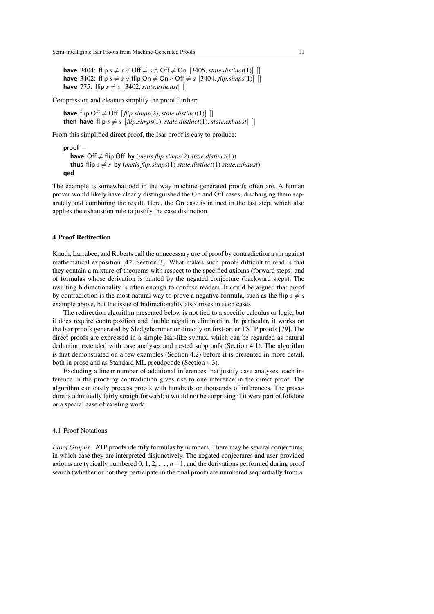**have** 3404: flip *s*  $\neq$  *s* ∨ Off  $\neq$  *s* ∧ Off  $\neq$  On [3405, *state.distinct*(1)] [] **have** 3402: flip *s* ≠ *s* ∨ flip On ≠ On ∧ Off ≠ *s* [3404, *flip.simps*(1)] [] have 775: flip  $s \neq s$  [3402, *state.exhaust*] []

Compression and cleanup simplify the proof further:

have flip Off  $\neq$  Off  $\lceil$  *flip.simps*(2), *state.distinct*(1) $\lceil$   $\rceil$ **then have** flip  $s \neq s$  [*flip.simps*(1), *state.distinct*(1), *state.exhaust*] []

From this simplified direct proof, the Isar proof is easy to produce:

proof − have Off  $\neq$  flip Off by (*metis flip.simps*(2) *state.distinct*(1)) **thus** flip  $s \neq s$  **by** (*metis flip.simps*(1) *state.distinct*(1) *state.exhaust*) qed

The example is somewhat odd in the way machine-generated proofs often are. A human prover would likely have clearly distinguished the On and Off cases, discharging them separately and combining the result. Here, the On case is inlined in the last step, which also applies the exhaustion rule to justify the case distinction.

#### <span id="page-10-0"></span>4 Proof Redirection

Knuth, Larrabee, and Roberts call the unnecessary use of proof by contradiction a sin against mathematical exposition [\[42,](#page-42-17) Section 3]. What makes such proofs difficult to read is that they contain a mixture of theorems with respect to the specified axioms (forward steps) and of formulas whose derivation is tainted by the negated conjecture (backward steps). The resulting bidirectionality is often enough to confuse readers. It could be argued that proof by contradiction is the most natural way to prove a negative formula, such as the flip  $s \neq s$ example above, but the issue of bidirectionality also arises in such cases.

The redirection algorithm presented below is not tied to a specific calculus or logic, but it does require contraposition and double negation elimination. In particular, it works on the Isar proofs generated by Sledgehammer or directly on first-order TSTP proofs [\[79\]](#page-44-1). The direct proofs are expressed in a simple Isar-like syntax, which can be regarded as natural deduction extended with case analyses and nested subproofs (Section [4.1\)](#page-10-1). The algorithm is first demonstrated on a few examples (Section [4.2\)](#page-13-0) before it is presented in more detail, both in prose and as Standard ML pseudocode (Section [4.3\)](#page-16-0).

Excluding a linear number of additional inferences that justify case analyses, each inference in the proof by contradiction gives rise to one inference in the direct proof. The algorithm can easily process proofs with hundreds or thousands of inferences. The procedure is admittedly fairly straightforward; it would not be surprising if it were part of folklore or a special case of existing work.

## <span id="page-10-1"></span>4.1 Proof Notations

*Proof Graphs.* ATP proofs identify formulas by numbers. There may be several conjectures, in which case they are interpreted disjunctively. The negated conjectures and user-provided axioms are typically numbered 0, 1, 2, . . . , *n*−1, and the derivations performed during proof search (whether or not they participate in the final proof) are numbered sequentially from *n*.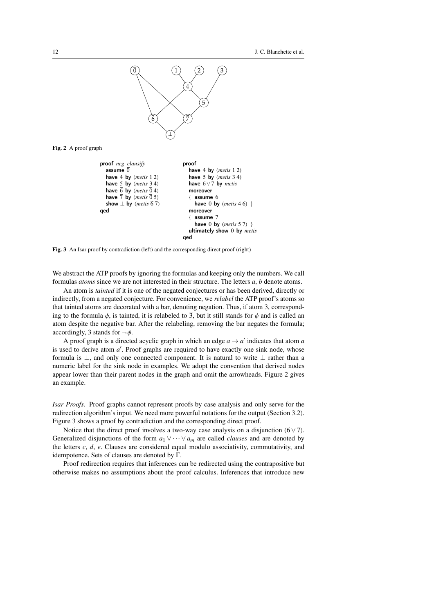

<span id="page-11-0"></span>Fig. 2 A proof graph

| <b>proof</b> $neg\_clausify$                                   | $proof -$                           |
|----------------------------------------------------------------|-------------------------------------|
| assume $\overline{0}$                                          | have 4 by $(metis 12)$              |
| have 4 by $(metis 12)$                                         | have $5$ by (metis $34$ )           |
| have $5$ by (metis $34$ )                                      | have $6\vee 7$ by <i>metis</i>      |
| have $\overline{6}$ by ( <i>metis</i> $\overline{0}$ 4)        | moreover                            |
| have $\overline{7}$ by ( <i>metis</i> $\overline{0}$ 5)        | $\{$ assume $6$                     |
| show $\perp$ by ( <i>metis</i> $\overline{6}$ $\overline{7}$ ) | have 0 by $(metis 46)$ }            |
| qed                                                            | moreover                            |
|                                                                | $\{$ assume $7$                     |
|                                                                | have 0 by $(metis 57)$ }            |
|                                                                | ultimately show $0$ by <i>metis</i> |
|                                                                | aed                                 |

<span id="page-11-1"></span>Fig. 3 An Isar proof by contradiction (left) and the corresponding direct proof (right)

We abstract the ATP proofs by ignoring the formulas and keeping only the numbers. We call formulas *atoms* since we are not interested in their structure. The letters *a*, *b* denote atoms.

An atom is *tainted* if it is one of the negated conjectures or has been derived, directly or indirectly, from a negated conjecture. For convenience, we *relabel* the ATP proof's atoms so that tainted atoms are decorated with a bar, denoting negation. Thus, if atom 3, corresponding to the formula  $\phi$ , is tainted, it is relabeled to  $\overline{3}$ , but it still stands for  $\phi$  and is called an atom despite the negative bar. After the relabeling, removing the bar negates the formula; accordingly, 3 stands for  $\neg \phi$ .

A proof graph is a directed acyclic graph in which an edge  $a \rightarrow a'$  indicates that atom *a* is used to derive atom  $a'$ . Proof graphs are required to have exactly one sink node, whose formula is  $\bot$ , and only one connected component. It is natural to write  $\bot$  rather than a numeric label for the sink node in examples. We adopt the convention that derived nodes appear lower than their parent nodes in the graph and omit the arrowheads. Figure [2](#page-11-0) gives an example.

*Isar Proofs.* Proof graphs cannot represent proofs by case analysis and only serve for the redirection algorithm's input. We need more powerful notations for the output (Section [3.2\)](#page-8-0). Figure [3](#page-11-1) shows a proof by contradiction and the corresponding direct proof.

Notice that the direct proof involves a two-way case analysis on a disjunction  $(6\vee 7)$ . Generalized disjunctions of the form  $a_1 \vee \cdots \vee a_m$  are called *clauses* and are denoted by the letters *c*, *d*, *e*. Clauses are considered equal modulo associativity, commutativity, and idempotence. Sets of clauses are denoted by Γ.

Proof redirection requires that inferences can be redirected using the contrapositive but otherwise makes no assumptions about the proof calculus. Inferences that introduce new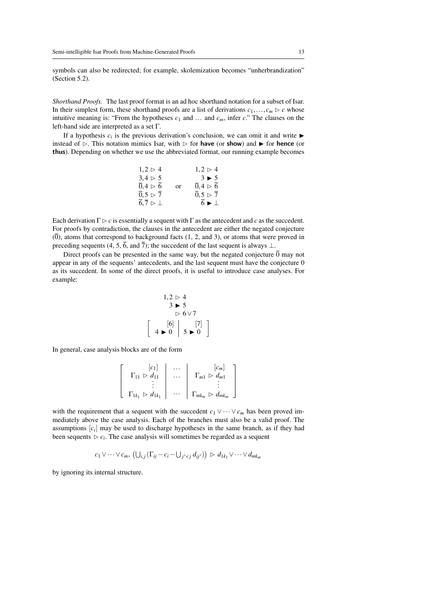symbols can also be redirected; for example, skolemization becomes "unherbrandization" (Section [5.2\)](#page-22-0).

*Shorthand Proofs.* The last proof format is an ad hoc shorthand notation for a subset of Isar. In their simplest form, these shorthand proofs are a list of derivations  $c_1, \ldots, c_m \triangleright c$  whose intuitive meaning is: "From the hypotheses  $c_1$  and ... and  $c_m$ , infer  $c$ ." The clauses on the left-hand side are interpreted as a set Γ.

If a hypothesis  $c_i$  is the previous derivation's conclusion, we can omit it and write  $\blacktriangleright$ instead of  $\triangleright$ . This notation mimics Isar, with  $\triangleright$  for **have** (or **show**) and  $\triangleright$  for **hence** (or thus). Depending on whether we use the abbreviated format, our running example becomes

| $1.2 \geq 4$                                         |    | 1,2 > 4                               |
|------------------------------------------------------|----|---------------------------------------|
| 3.4 > 5                                              |    | $3 \triangleright 5$                  |
| $\overline{0}$ ,4 $\vartriangleright$ $\overline{6}$ | Ωr | $0.4 \triangleright \overline{6}$     |
| $0,5 \rhd \overline{7}$                              |    | $\overline{0}$ , 5 $\triangleright$ 7 |
| 6.7 $\triangleright$ $\perp$                         |    | $6 \blacktriangleright \bot$          |
|                                                      |    |                                       |

Each derivation  $\Gamma \triangleright c$  is essentially a sequent with  $\Gamma$  as the antecedent and *c* as the succedent. For proofs by contradiction, the clauses in the antecedent are either the negated conjecture  $(0)$ , atoms that correspond to background facts  $(1, 2, \text{ and } 3)$ , or atoms that were proved in preceding sequents (4, 5,  $\overline{6}$ , and  $\overline{7}$ ); the succedent of the last sequent is always  $\perp$ .

Direct proofs can be presented in the same way, but the negated conjecture  $\overline{0}$  may not appear in any of the sequents' antecedents, and the last sequent must have the conjecture 0 as its succedent. In some of the direct proofs, it is useful to introduce case analyses. For example:

$$
1, 2 \triangleright 4
$$
  
\n
$$
3 \triangleright 5
$$
  
\n
$$
\triangleright 6 \vee 7
$$
  
\n
$$
\begin{bmatrix} [6] \\ 4 \triangleright 0 \end{bmatrix} \begin{bmatrix} 7 \\ 5 \triangleright 0 \end{bmatrix}
$$

In general, case analysis blocks are of the form

$$
\left[\begin{array}{ccc} [c_1] & \cdots & [c_m] \\ \Gamma_{11} & \cdots & \cdots & \Gamma_{m1} & \cdots \\ \vdots & \vdots & \cdots & \vdots \\ \Gamma_{1k_1} & \cdots & \cdots & \Gamma_{mk_m} & \cdots \end{array}\right]
$$

with the requirement that a sequent with the succedent  $c_1 \vee \cdots \vee c_m$  has been proved immediately above the case analysis. Each of the branches must also be a valid proof. The assumptions  $[c_i]$  may be used to discharge hypotheses in the same branch, as if they had been sequents  $\triangleright c_i$ . The case analysis will sometimes be regarded as a sequent

$$
c_1 \vee \cdots \vee c_m, \left( \bigcup_{i,j} \left( \Gamma_{ij} - c_i - \bigcup_{j' < j} d_{ij'} \right) \right) \vartriangleright d_{1k_1} \vee \cdots \vee d_{mk_m}
$$

by ignoring its internal structure.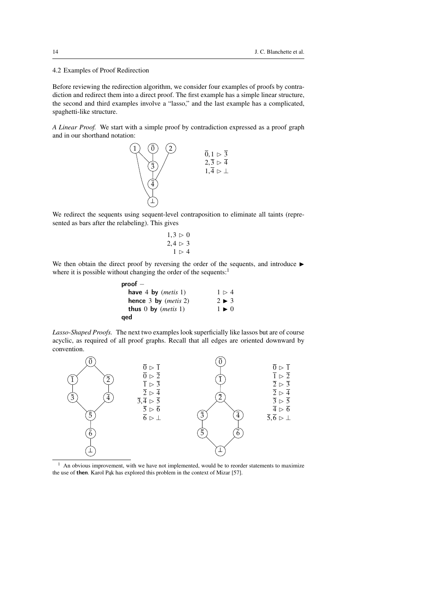## <span id="page-13-0"></span>4.2 Examples of Proof Redirection

Before reviewing the redirection algorithm, we consider four examples of proofs by contradiction and redirect them into a direct proof. The first example has a simple linear structure, the second and third examples involve a "lasso," and the last example has a complicated, spaghetti-like structure.

*A Linear Proof.* We start with a simple proof by contradiction expressed as a proof graph and in our shorthand notation:



We redirect the sequents using sequent-level contraposition to eliminate all taints (represented as bars after the relabeling). This gives

$$
1,3 \ge 0
$$
  

$$
2,4 \ge 3
$$
  

$$
1 \ge 4
$$

We then obtain the direct proof by reversing the order of the sequents, and introduce  $\blacktriangleright$ where it is possible without changing the order of the sequents:<sup>[1](#page-13-1)</sup>

| proof $-$                        |                      |
|----------------------------------|----------------------|
| have 4 by $(metis 1)$            | 1 > 4                |
| hence $3$ by ( <i>metis</i> $2)$ | $2 \triangleright 3$ |
| thus 0 by $(metis 1)$            | $1 \triangleright 0$ |
| qed                              |                      |

*Lasso-Shaped Proofs.* The next two examples look superficially like lassos but are of course acyclic, as required of all proof graphs. Recall that all edges are oriented downward by convention.



<span id="page-13-1"></span><sup>1</sup> An obvious improvement, with we have not implemented, would be to reorder statements to maximize the use of then. Karol Pak has explored this problem in the context of Mizar [\[57\]](#page-43-20).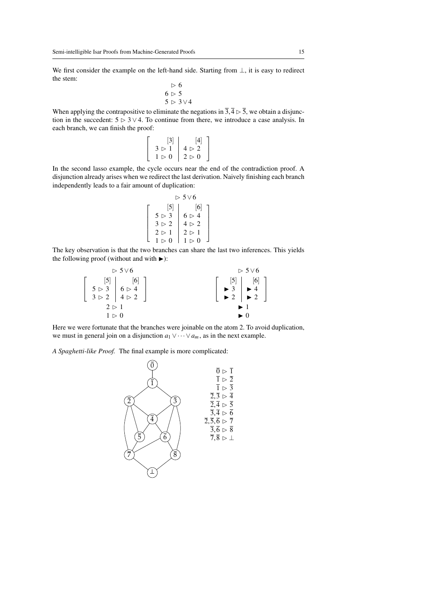We first consider the example on the left-hand side. Starting from ⊥, it is easy to redirect the stem:

$$
\begin{array}{c}\n \triangleright 6 \\
 6 \triangleright 5 \\
 5 \triangleright 3 \vee 4\n\end{array}
$$

When applying the contrapositive to eliminate the negations in  $\overline{3}, \overline{4} \triangleright \overline{5}$ , we obtain a disjunction in the succedent:  $5 \triangleright 3 \vee 4$ . To continue from there, we introduce a case analysis. In each branch, we can finish the proof:

$$
\left[\begin{array}{c} [3] \\ 3 \rhd 1 \\ 1 \rhd 0 \end{array}\middle|\begin{array}{c} [4] \\ 4 \rhd 2 \\ 2 \rhd 0 \end{array}\right]
$$

In the second lasso example, the cycle occurs near the end of the contradiction proof. A disjunction already arises when we redirect the last derivation. Naively finishing each branch independently leads to a fair amount of duplication:

$$
\begin{array}{c}\n & \triangleright 5 \lor 6 \\
 \boxed{5} \rightarrow 3 \quad \boxed{6} \rightarrow 4 \\
 3 \rhd 2 \quad \boxed{4 \rhd 2} \\
 2 \rhd 1 \quad \boxed{2 \rhd 1} \\
 1 \rhd 0 \quad 1 \rhd 0\n\end{array}
$$

The key observation is that the two branches can share the last two inferences. This yields the following proof (without and with  $\blacktriangleright$ ):

| $> 5 \vee 6$                                                                                                                                  | $> 5 \vee 6$                                                                                                                                                                                      |
|-----------------------------------------------------------------------------------------------------------------------------------------------|---------------------------------------------------------------------------------------------------------------------------------------------------------------------------------------------------|
| $\left[\begin{array}{c} [5] \\ 5 \rhd 3 \\ 3 \rhd 2 \end{array}\right] \left[\begin{array}{c} [6] \\ 6 \rhd 4 \\ 4 \rhd 2 \end{array}\right]$ | $\left[\begin{array}{c} [5] \\ \blacktriangleright 3 \\ \blacktriangleright 2 \end{array}\right] \left[\begin{array}{c} [6] \\ \blacktriangleright 4 \\ \blacktriangleright 2 \end{array}\right]$ |
| $2 \geq 1$                                                                                                                                    |                                                                                                                                                                                                   |
| $1 \geq 0$                                                                                                                                    | $\blacktriangleright$ 0                                                                                                                                                                           |

Here we were fortunate that the branches were joinable on the atom 2. To avoid duplication, we must in general join on a disjunction  $a_1 \vee \cdots \vee a_m$ , as in the next example.

*A Spaghetti-like Proof.* The final example is more complicated:

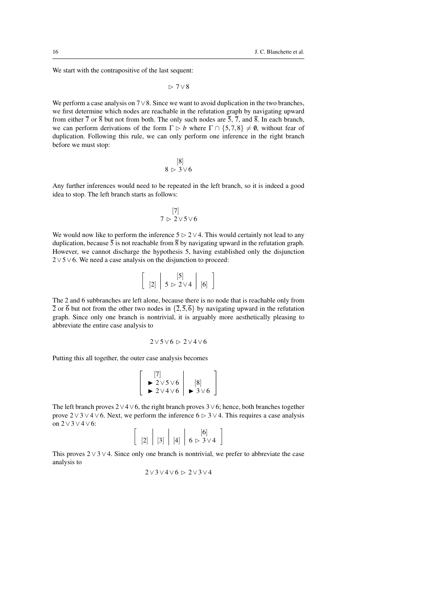We start with the contrapositive of the last sequent:

$$
\vartriangleright\,7\vee 8
$$

We perform a case analysis on 7∨8. Since we want to avoid duplication in the two branches, we first determine which nodes are reachable in the refutation graph by navigating upward from either  $\overline{7}$  or  $\overline{8}$  but not from both. The only such nodes are  $\overline{5}$ ,  $\overline{7}$ , and  $\overline{8}$ . In each branch, we can perform derivations of the form  $\Gamma \triangleright b$  where  $\Gamma \cap \{5,7,8\} \neq \emptyset$ , without fear of duplication. Following this rule, we can only perform one inference in the right branch before we must stop:

$$
\begin{array}{c} [8] \\ 8 \rhd 3 \vee 6 \end{array}
$$

Any further inferences would need to be repeated in the left branch, so it is indeed a good idea to stop. The left branch starts as follows:

$$
\begin{array}{c} [7] \\ 7 \rhd 2 \vee 5 \vee 6 \end{array}
$$

We would now like to perform the inference  $5 \triangleright 2 \vee 4$ . This would certainly not lead to any duplication, because  $\overline{5}$  is not reachable from  $\overline{8}$  by navigating upward in the refutation graph. However, we cannot discharge the hypothesis 5, having established only the disjunction 2∨5∨6. We need a case analysis on the disjunction to proceed:

$$
\left[\begin{array}{c|c} 5 & 5 \\ 2 & 5 \triangleright 2 \triangleright 4 & 6 \end{array}\right]
$$

The 2 and 6 subbranches are left alone, because there is no node that is reachable only from  $\overline{2}$  or  $\overline{6}$  but not from the other two nodes in  $\{\overline{2},\overline{5},\overline{6}\}$  by navigating upward in the refutation graph. Since only one branch is nontrivial, it is arguably more aesthetically pleasing to abbreviate the entire case analysis to

$$
2\vee 5\vee 6\vartriangleright 2\vee 4\vee 6
$$

Putting this all together, the outer case analysis becomes

$$
\left[\begin{array}{c} [7] \\ \blacktriangleright 2 \vee 5 \vee 6 \\ \blacktriangleright 2 \vee 4 \vee 6 \end{array}\right] \left[\begin{array}{c} [8] \\ \blacktriangleright 3 \vee 6 \end{array}\right]
$$

The left branch proves 2∨4∨6, the right branch proves 3∨6; hence, both branches together prove  $2 \vee 3 \vee 4 \vee 6$ . Next, we perform the inference 6  $\triangleright$  3  $\vee$  4. This requires a case analysis on 2∨3∨4∨6:

$$
\left[\begin{array}{c|c} 2 & 3 & 4 \end{array}\right] \left[\begin{array}{c|c} 3 & 4 & 5 \end{array}\right]
$$

This proves 2∨3∨4. Since only one branch is nontrivial, we prefer to abbreviate the case analysis to

$$
2\vee 3\vee 4\vee 6\vartriangleright 2\vee 3\vee 4
$$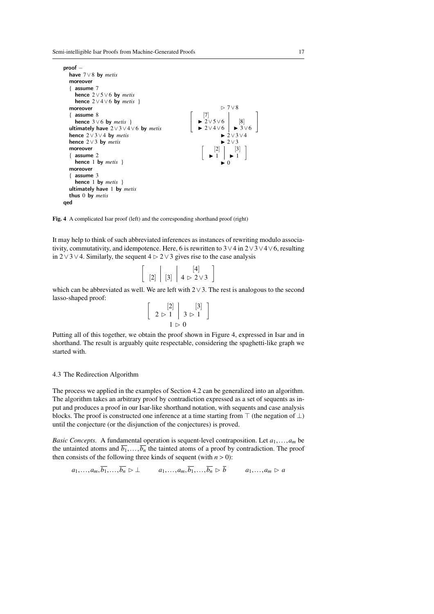Semi-intelligible Isar Proofs from Machine-Generated Proofs 17

proof − have 7∨8 by *metis* moreover { assume 7 hence 2∨5∨6 by *metis* hence 2∨4∨6 by *metis* } moreover { assume 8 hence 3∨6 by *metis* } ultimately have 2∨3∨4∨6 by *metis* hence 2∨3∨4 by *metis* hence 2∨3 by *metis* moreover { assume 2 hence 1 by *metis* } moreover { assume 3 hence 1 by *metis* } ultimately have 1 by *metis* thus 0 by *metis* qed  $\sim$  7∨8 Γ  $\overline{\phantom{a}}$ [7]  $\blacktriangleright$  2∨5∨6  $\blacktriangleright$  2∨4∨6 [8]  $\blacktriangleright$  3  $\vee$  6 1  $\overline{\phantom{a}}$  $\blacktriangleright$  2∨3∨4  $\blacktriangleright$  2∨3  $\left[\begin{array}{c} [2] \\ \hline \end{array}\right]$   $\left[\begin{array}{c} [3] \\ \hline \end{array}\right]$ 1  $\blacktriangleright$  0

<span id="page-16-1"></span>Fig. 4 A complicated Isar proof (left) and the corresponding shorthand proof (right)

 $\sqrt{ }$ 

It may help to think of such abbreviated inferences as instances of rewriting modulo associativity, commutativity, and idempotence. Here, 6 is rewritten to 3∨4 in 2∨3∨4∨6, resulting in 2∨3∨4. Similarly, the sequent  $4 \triangleright 2 \triangleright 3$  gives rise to the case analysis

$$
\begin{array}{c|c|c|c}\n 2 & 3 & 4 & 5 & 2 & 3\n\end{array}
$$

1

which can be abbreviated as well. We are left with 2∨3. The rest is analogous to the second lasso-shaped proof:

$$
\left[\begin{array}{c|c} [2] & [3] \\ 2 \triangleright 1 & 3 \triangleright 1 \\ 1 \triangleright 0 \end{array}\right]
$$

Putting all of this together, we obtain the proof shown in Figure [4,](#page-16-1) expressed in Isar and in shorthand. The result is arguably quite respectable, considering the spaghetti-like graph we started with.

#### <span id="page-16-0"></span>4.3 The Redirection Algorithm

The process we applied in the examples of Section [4.2](#page-13-0) can be generalized into an algorithm. The algorithm takes an arbitrary proof by contradiction expressed as a set of sequents as input and produces a proof in our Isar-like shorthand notation, with sequents and case analysis blocks. The proof is constructed one inference at a time starting from  $\top$  (the negation of  $\bot$ ) until the conjecture (or the disjunction of the conjectures) is proved.

*Basic Concepts.* A fundamental operation is sequent-level contraposition. Let *<sup>a</sup>*1,...,*a<sup>m</sup>* be the untainted atoms and  $\overline{b_1}, \ldots, \overline{b_n}$  the tainted atoms of a proof by contradiction. The proof then consists of the following three kinds of sequent (with  $n > 0$ ):

$$
a_1,\ldots,a_m,\overline{b_1},\ldots,\overline{b_n} \triangleright \bot a_1,\ldots,a_m,\overline{b_1},\ldots,\overline{b_n} \triangleright \overline{b} a_1,\ldots,a_m \triangleright a
$$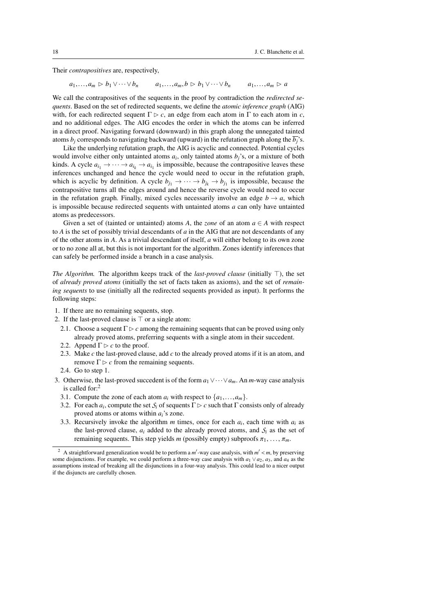Their *contrapositives* are, respectively,

$$
a_1,\ldots,a_m \triangleright b_1 \vee \cdots \vee b_n \qquad a_1,\ldots,a_m,b \triangleright b_1 \vee \cdots \vee b_n \qquad a_1,\ldots,a_m \triangleright a
$$

We call the contrapositives of the sequents in the proof by contradiction the *redirected sequents*. Based on the set of redirected sequents, we define the *atomic inference graph* (AIG) with, for each redirected sequent  $\Gamma \triangleright c$ , an edge from each atom in  $\Gamma$  to each atom in *c*, and no additional edges. The AIG encodes the order in which the atoms can be inferred in a direct proof. Navigating forward (downward) in this graph along the unnegated tainted atoms  $b_j$  corresponds to navigating backward (upward) in the refutation graph along the  $\overline{b_j}$ 's.

Like the underlying refutation graph, the AIG is acyclic and connected. Potential cycles would involve either only untainted atoms  $a_i$ , only tainted atoms  $b_j$ 's, or a mixture of both kinds. A cycle  $a_{i_1} \to \cdots \to a_{i_k} \to a_{i_1}$  is impossible, because the contrapositive leaves these inferences unchanged and hence the cycle would need to occur in the refutation graph, which is acyclic by definition. A cycle  $b_{j_1} \to \cdots \to b_{j_k} \to b_{j_1}$  is impossible, because the contrapositive turns all the edges around and hence the reverse cycle would need to occur in the refutation graph. Finally, mixed cycles necessarily involve an edge  $b \rightarrow a$ , which is impossible because redirected sequents with untainted atoms *a* can only have untainted atoms as predecessors.

Given a set of (tainted or untainted) atoms A, the *zone* of an atom  $a \in A$  with respect to *A* is the set of possibly trivial descendants of *a* in the AIG that are not descendants of any of the other atoms in *A*. As a trivial descendant of itself, *a* will either belong to its own zone or to no zone all at, but this is not important for the algorithm. Zones identify inferences that can safely be performed inside a branch in a case analysis.

*The Algorithm.* The algorithm keeps track of the *last-proved clause* (initially  $\top$ ), the set of *already proved atoms* (initially the set of facts taken as axioms), and the set of *remaining sequents* to use (initially all the redirected sequents provided as input). It performs the following steps:

- 1. If there are no remaining sequents, stop.
- 2. If the last-proved clause is  $\top$  or a single atom:
	- 2.1. Choose a sequent  $\Gamma \triangleright c$  among the remaining sequents that can be proved using only already proved atoms, preferring sequents with a single atom in their succedent.
	- 2.2. Append  $\Gamma \triangleright c$  to the proof.
	- 2.3. Make *c* the last-proved clause, add *c* to the already proved atoms if it is an atom, and remove  $\Gamma \triangleright c$  from the remaining sequents.
	- 2.4. Go to step 1.
- 3. Otherwise, the last-proved succedent is of the form *a*1∨···∨*am*. An *m*-way case analysis is called for:<sup>[2](#page-17-0)</sup>
	- 3.1. Compute the zone of each atom  $a_i$  with respect to  $\{a_1, \ldots, a_m\}$ .
	- 3.2. For each  $a_i$ , compute the set  $S_i$  of sequents  $\Gamma \triangleright c$  such that  $\Gamma$  consists only of already proved atoms or atoms within *ai*'s zone.
	- 3.3. Recursively invoke the algorithm  $m$  times, once for each  $a_i$ , each time with  $a_i$  as the last-proved clause,  $a_i$  added to the already proved atoms, and  $S_i$  as the set of remaining sequents. This step yields *m* (possibly empty) subproofs  $\pi_1, \ldots, \pi_m$ .

<span id="page-17-0"></span><sup>&</sup>lt;sup>2</sup> A straightforward generalization would be to perform a *m'*-way case analysis, with  $m' < m$ , by preserving me disjunctions. For example, we could perform a three-way case analysis with  $a_1 \vee a_2$ , and  $a_4$  as the some disjunctions. For example, we could perform a three-way case analysis with  $a_1 \vee a_2$ ,  $a_3$ , and  $a_4$  as the assumptions instead of breaking all the disjunctions in a four-way analysis. This could lead to a nicer output if the disjuncts are carefully chosen.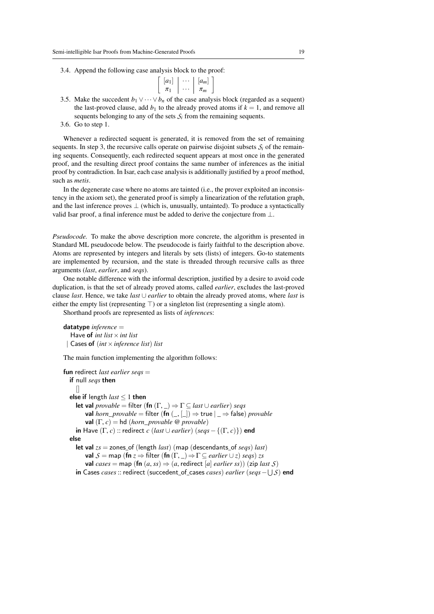3.4. Append the following case analysis block to the proof:

$$
\left[\begin{array}{c|c}\n[a_1] & \cdots & a_m\n\end{array}\right]\n\cdots\n\left[\begin{array}{c|c}\n a_m\n\end{array}\right]
$$

3.5. Make the succedent  $b_1 \vee \cdots \vee b_n$  of the case analysis block (regarded as a sequent) the last-proved clause, add  $b_1$  to the already proved atoms if  $k = 1$ , and remove all sequents belonging to any of the sets  $S_i$  from the remaining sequents.

3.6. Go to step 1.

Whenever a redirected sequent is generated, it is removed from the set of remaining sequents. In step 3, the recursive calls operate on pairwise disjoint subsets  $S_i$  of the remaining sequents. Consequently, each redirected sequent appears at most once in the generated proof, and the resulting direct proof contains the same number of inferences as the initial proof by contradiction. In Isar, each case analysis is additionally justified by a proof method, such as *metis*.

In the degenerate case where no atoms are tainted (i.e., the prover exploited an inconsistency in the axiom set), the generated proof is simply a linearization of the refutation graph, and the last inference proves  $\perp$  (which is, unusually, untainted). To produce a syntactically valid Isar proof, a final inference must be added to derive the conjecture from  $\perp$ .

*Pseudocode.* To make the above description more concrete, the algorithm is presented in Standard ML pseudocode below. The pseudocode is fairly faithful to the description above. Atoms are represented by integers and literals by sets (lists) of integers. Go-to statements are implemented by recursion, and the state is threaded through recursive calls as three arguments (*last*, *earlier*, and *seqs*).

One notable difference with the informal description, justified by a desire to avoid code duplication, is that the set of already proved atoms, called *earlier*, excludes the last-proved clause *last*. Hence, we take *last* ∪ *earlier* to obtain the already proved atoms, where *last* is either the empty list (representing  $\top$ ) or a singleton list (representing a single atom).

Shorthand proofs are represented as lists of *inference*s:

```
datatype inference =
  Have of int list ×int list
 | Cases of (int ×inference list) list
```
The main function implementing the algorithm follows:

```
fun redirect last earlier seqs =
  if null seqs then
     \prodelse if length last ≤ 1 then
     let val provable = filter (fn (Γ, _) ⇒ Γ ⊆ last ∪ earlier) seqs
         val horn_provable = filter (fn (\_, [\_]) \Rightarrow true |\_ \Rightarrow false) provable
         val (Γ, c) = hd (horn_provable @ provable)
     in Have (\Gamma, c) :: redirect c (last ∪ earlier) (seqs – {(\Gamma, c)}) end
  else
     let val zs = zones_of (length last) (map (descendants_of seqs) last)
         val S = map (fn z \Rightarrow filter (fn (\Gamma, \Box) \Rightarrow \Gamma \subseteq earlier \cup z) seqs) zs
         val cases = \text{map } (\text{fn } (a, ss) \Rightarrow (a, \text{relative } [a] \text{ earlier } ss)) (zip last S)
     in Cases cases :: redirect (succedent_of_cases cases) earlier (seqs−
S
S) end
```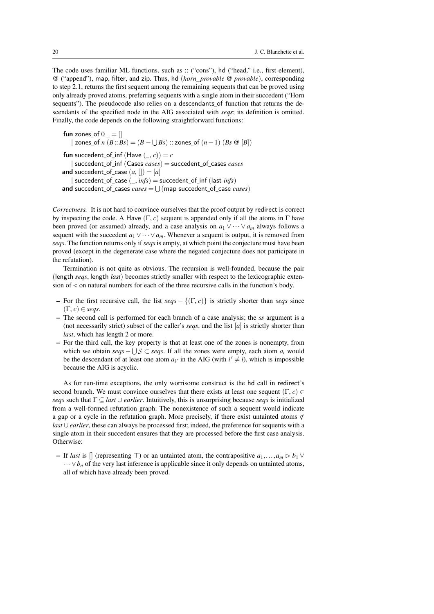The code uses familiar ML functions, such as :: ("cons"), hd ("head," i.e., first element), @ ("append"), map, filter, and zip. Thus, hd (*horn*\_*provable* @ *provable*), corresponding to step 2.1, returns the first sequent among the remaining sequents that can be proved using only already proved atoms, preferring sequents with a single atom in their succedent ("Horn sequents"). The pseudocode also relies on a descendants\_of function that returns the descendants of the specified node in the AIG associated with *seqs*; its definition is omitted. Finally, the code depends on the following straightforward functions:

fun zones\_of  $0 =$   $||$ | zones\_of *n*  $(B::Bs) = (B - \bigcup Bs) ::$  zones\_of  $(n-1)$   $(Bs \ @ [B])$ fun succedent\_of\_inf  $(Have (\_, c)) = c$ | succedent\_of\_inf (Cases *cases*) = succedent\_of\_cases *cases* and succedent\_of\_case  $(a, []$  =  $[a]$ <sup>|</sup> succedent\_of\_case (\_, *infs*) = succedent\_of\_inf (last *infs*) and succedent\_of\_cases *cases* = S (map succedent\_of\_case *cases*)

*Correctness.* It is not hard to convince ourselves that the proof output by redirect is correct by inspecting the code. A Have  $(\Gamma, c)$  sequent is appended only if all the atoms in  $\Gamma$  have been proved (or assumed) already, and a case analysis on  $a_1 \vee \cdots \vee a_m$  always follows a sequent with the succedent  $a_1 \vee \cdots \vee a_m$ . Whenever a sequent is output, it is removed from *seqs*. The function returns only if *seqs* is empty, at which point the conjecture must have been proved (except in the degenerate case where the negated conjecture does not participate in the refutation).

Termination is not quite as obvious. The recursion is well-founded, because the pair (length *seqs*, length *last*) becomes strictly smaller with respect to the lexicographic extension of < on natural numbers for each of the three recursive calls in the function's body.

- For the first recursive call, the list  $segs \{(\Gamma, c)\}\)$  is strictly shorter than *seqs* since  $(\Gamma, c) \in \text{seqs.}$
- The second call is performed for each branch of a case analysis; the *ss* argument is a (not necessarily strict) subset of the caller's *seqs*, and the list  $[a]$  is strictly shorter than *last*, which has length 2 or more.
- For the third call, the key property is that at least one of the zones is nonempty, from which we obtain  $\text{seq } s - \bigcup S$  ⊂  $\text{seq } s$ . If all the zones were empty, each atom  $a_i$  would be the descendant of at least one atom  $a_i$  in the AIG (with  $i' \neq i$ ), which is impossible because the AIG is acyclic.

As for run-time exceptions, the only worrisome construct is the hd call in redirect's second branch. We must convince ourselves that there exists at least one sequent  $(\Gamma, c)$ *seqs* such that Γ ⊆ *last* ∪ *earlier*. Intuitively, this is unsurprising because *seqs* is initialized from a well-formed refutation graph: The nonexistence of such a sequent would indicate a gap or a cycle in the refutation graph. More precisely, if there exist untainted atoms  $\notin$ *last* ∪ *earlier*, these can always be processed first; indeed, the preference for sequents with a single atom in their succedent ensures that they are processed before the first case analysis. Otherwise:

– If *last* is  $[$  (representing  $\top$ ) or an untainted atom, the contrapositive *a*<sub>1</sub>,...,*a*<sup>*m*</sup> ⊳ *b*<sub>1</sub> ∨  $\cdots \vee b_n$  of the very last inference is applicable since it only depends on untainted atoms, all of which have already been proved.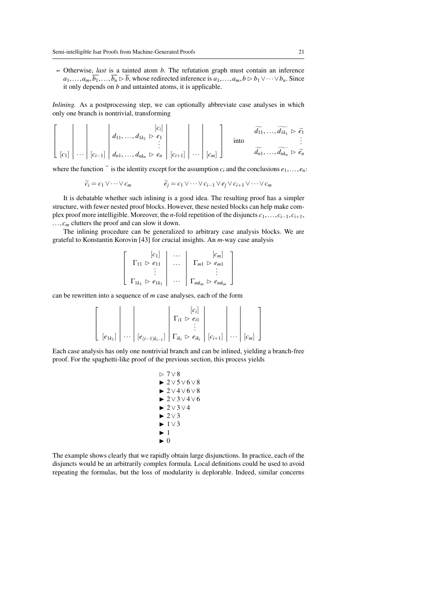– Otherwise, *last* is a tainted atom *b*. The refutation graph must contain an inference  $a_1, \ldots, a_m, \overline{b_1}, \ldots, \overline{b_n} \triangleright \overline{b}$ , whose redirected inference is  $a_1, \ldots, a_m, b \triangleright b_1 \vee \cdots \vee b_n$ . Since it only depends on *b* and untainted atoms, it is applicable.

*Inlining.* As a postprocessing step, we can optionally abbreviate case analyses in which only one branch is nontrivial, transforming

 [*ci <sup>d</sup>*11, ..., *<sup>d</sup>*1*k*<sup>1</sup> <sup>B</sup> *<sup>e</sup>*<sup>1</sup> . . . [*c*1] ··· [*ci*−1] *<sup>d</sup>n*1, ..., *<sup>d</sup>nk<sup>n</sup>* <sup>B</sup> *<sup>e</sup><sup>n</sup>* [*ci*+1] ··· [*cm*] into *<sup>d</sup>*f11, ..., *<sup>d</sup>*g1*k*<sup>1</sup> <sup>B</sup> *<sup>e</sup>*e<sup>1</sup> . . . *<sup>d</sup>*f*n*1, ..., *<sup>d</sup>*g*nk<sup>n</sup>* <sup>B</sup> *<sup>e</sup>*e*<sup>n</sup>*

where the function  $\tilde{c}$  is the identity except for the assumption  $c_i$  and the conclusions  $e_1, \ldots, e_n$ :

$$
\widetilde{c_i} = c_1 \vee \cdots \vee c_m \qquad \qquad \widetilde{e_j} = c_1 \vee \cdots \vee c_{i-1} \vee e_j \vee c_{i+1} \vee \cdots \vee c_m
$$

It is debatable whether such inlining is a good idea. The resulting proof has a simpler structure, with fewer nested proof blocks. However, these nested blocks can help make complex proof more intelligible. Moreover, the *<sup>n</sup>*-fold repetition of the disjuncts *<sup>c</sup>*1,..., *<sup>c</sup>i*−1, *<sup>c</sup>i*+1, ...,  $c_m$  clutters the proof and can slow it down.

The inlining procedure can be generalized to arbitrary case analysis blocks. We are grateful to Konstantin Korovin [\[43\]](#page-42-18) for crucial insights. An *m*-way case analysis

$$
\left[\begin{array}{ccc} [c_1] & \cdots & [c_m] \\ \Gamma_{11} \triangleright e_{11} & \cdots & \Gamma_{m1} \triangleright e_{m1} \\ \vdots & \vdots & \cdots & \vdots \\ \Gamma_{1k_1} \triangleright e_{1k_1} & \cdots & \Gamma_{mk_m} \triangleright e_{mk_m} \end{array}\right]
$$

can be rewritten into a sequence of *m* case analyses, each of the form

$$
\left[\begin{array}{c|c} \mathbf{c}_{i1} & \mathbf{c}_{i2} & \mathbf{c}_{i3} \\ \hline \mathbf{c}_{i1} & \mathbf{c}_{i2} & \mathbf{c}_{i3} \\ \hline \mathbf{c}_{i2} & \mathbf{c}_{i3} & \mathbf{c}_{i4} \\ \hline \mathbf{c}_{i1} & \mathbf{c}_{i2} & \mathbf{c}_{i3} \end{array}\right] \begin{array}{c|c} \mathbf{c}_{i1} & \mathbf{c}_{i2} & \mathbf{c}_{i3} \\ \hline \mathbf{c}_{i1} & \mathbf{c}_{i2} & \mathbf{c}_{i3} \\ \hline \mathbf{c}_{i2} & \mathbf{c}_{i3} & \mathbf{c}_{i4} \end{array}\right]
$$

Each case analysis has only one nontrivial branch and can be inlined, yielding a branch-free proof. For the spaghetti-like proof of the previous section, this process yields

$$
\triangleright 7 \vee 8
$$
\n
$$
\triangleright 2 \vee 5 \vee 6 \vee 8
$$
\n
$$
\triangleright 2 \vee 4 \vee 6 \vee 8
$$
\n
$$
\triangleright 2 \vee 3 \vee 4 \vee 6
$$
\n
$$
\triangleright 2 \vee 3 \vee 4
$$
\n
$$
\triangleright 2 \vee 3 \vee 4
$$
\n
$$
\triangleright 2 \vee 3
$$
\n
$$
\triangleright 1 \vee 3
$$
\n
$$
\triangleright 1
$$
\n
$$
\triangleright 0
$$

The example shows clearly that we rapidly obtain large disjunctions. In practice, each of the disjuncts would be an arbitrarily complex formula. Local definitions could be used to avoid repeating the formulas, but the loss of modularity is deplorable. Indeed, similar concerns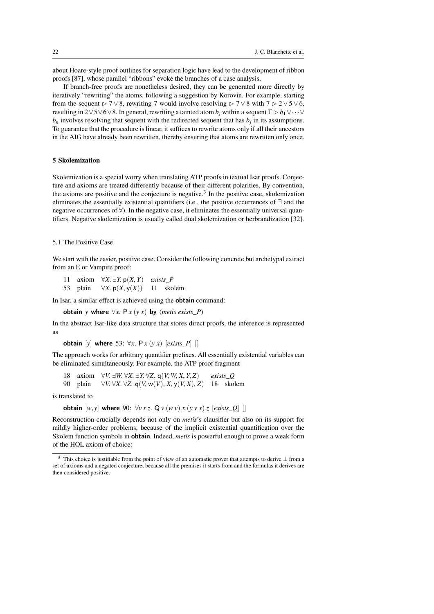about Hoare-style proof outlines for separation logic have lead to the development of ribbon proofs [\[87\]](#page-44-7), whose parallel "ribbons" evoke the branches of a case analysis.

If branch-free proofs are nonetheless desired, they can be generated more directly by iteratively "rewriting" the atoms, following a suggestion by Korovin. For example, starting from the sequent  $D 7 ∨ 8$ , rewriting 7 would involve resolving  $D 7 ∨ 8$  with  $7 D 2 ∨ 5 ∨ 6$ , resulting in 2∨5∨6∨8. In general, rewriting a tainted atom  $b_i$  within a sequent  $\Gamma \triangleright b_1 \vee \cdots \vee$  $b_n$  involves resolving that sequent with the redirected sequent that has  $b_j$  in its assumptions. To guarantee that the procedure is linear, it suffices to rewrite atoms only if all their ancestors in the AIG have already been rewritten, thereby ensuring that atoms are rewritten only once.

## <span id="page-21-0"></span>5 Skolemization

Skolemization is a special worry when translating ATP proofs in textual Isar proofs. Conjecture and axioms are treated differently because of their different polarities. By convention, the axioms are positive and the conjecture is negative.<sup>[3](#page-21-1)</sup> In the positive case, skolemization eliminates the essentially existential quantifiers (i.e., the positive occurrences of ∃ and the negative occurrences of ∀). In the negative case, it eliminates the essentially universal quantifiers. Negative skolemization is usually called dual skolemization or herbrandization [\[32\]](#page-42-19).

#### <span id="page-21-2"></span>5.1 The Positive Case

We start with the easier, positive case. Consider the following concrete but archetypal extract from an E or Vampire proof:

11 axiom <sup>∀</sup>*X*. <sup>∃</sup>*Y*. <sup>p</sup>(*X*, *<sup>Y</sup>*) *exists\_P*

 $\forall X. \, \mathsf{p}(X, \mathsf{y}(X))$  11 skolem

In Isar, a similar effect is achieved using the **obtain** command:

**obtain** *y* where  $∀x$ .  $P(x(y|x))$  by (*metis exists\_P*)

In the abstract Isar-like data structure that stores direct proofs, the inference is represented as

obtain [*y*] where 53:  $\forall x$ . P *x* (*y x*) [*exists\_P*] []

The approach works for arbitrary quantifier prefixes. All essentially existential variables can be eliminated simultaneously. For example, the ATP proof fragment

|  | 18 axiom $\forall V \exists W. \forall X. \exists Y. \forall Z. \mathsf{q}(V, W, X, Y, Z)$ exists Q        |  |
|--|------------------------------------------------------------------------------------------------------------|--|
|  | 90 plain $\forall V. \forall X. \forall Z. \mathsf{q}(V, \mathsf{w}(V), X, \mathsf{y}(V, X), Z)$ 18 skolem |  |

is translated to

obtain  $[w, y]$  where 90:  $\forall v \times z$ . Q  $v$   $(w v) \times (y v x) z$  [exists\_Q] []

Reconstruction crucially depends not only on *metis*'s clausifier but also on its support for mildly higher-order problems, because of the implicit existential quantification over the Skolem function symbols in obtain. Indeed, *metis* is powerful enough to prove a weak form of the HOL axiom of choice:

<span id="page-21-1"></span><sup>&</sup>lt;sup>3</sup> This choice is justifiable from the point of view of an automatic prover that attempts to derive ⊥ from a set of axioms and a negated conjecture, because all the premises it starts from and the formulas it derives are then considered positive.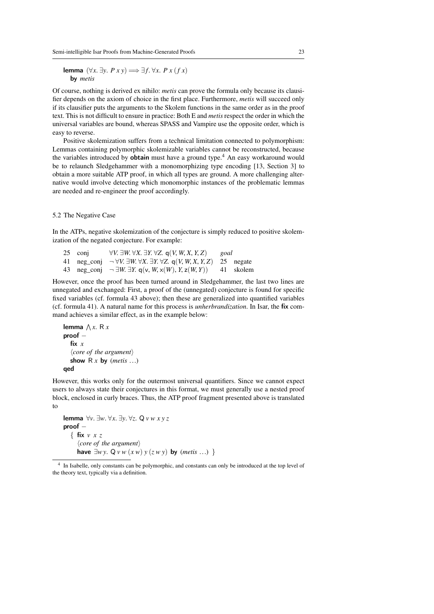**lemma**  $(\forall x. \exists y. P x y) \Longrightarrow ∃f. ∤x. P x (f x)$ by *metis*

Of course, nothing is derived ex nihilo: *metis* can prove the formula only because its clausifier depends on the axiom of choice in the first place. Furthermore, *metis* will succeed only if its clausifier puts the arguments to the Skolem functions in the same order as in the proof text. This is not difficult to ensure in practice: Both E and *metis* respect the order in which the universal variables are bound, whereas SPASS and Vampire use the opposite order, which is easy to reverse.

Positive skolemization suffers from a technical limitation connected to polymorphism: Lemmas containing polymorphic skolemizable variables cannot be reconstructed, because the variables introduced by **obtain** must have a ground type.<sup>[4](#page-22-1)</sup> An easy workaround would be to relaunch Sledgehammer with a monomorphizing type encoding [\[13,](#page-41-1) Section 3] to obtain a more suitable ATP proof, in which all types are ground. A more challenging alternative would involve detecting which monomorphic instances of the problematic lemmas are needed and re-engineer the proof accordingly.

#### <span id="page-22-0"></span>5.2 The Negative Case

In the ATPs, negative skolemization of the conjecture is simply reduced to positive skolemization of the negated conjecture. For example:

25 conj ∀*V*. ∃*W*. ∀*X*. ∃*Y*. ∀*Z*. q(*V*, *W*, *X*, *Y*, *Z*) *goal* 41 neg conj ¬∀*V*. ∃*W*. ∀*X*. ∃*Y*. ∀*Z*. q(*V*, *W*, *X*, *Y*, *Z*) 25 negate 41 neg\_conj ¬ ∀*V*. ∃*W*. ∀*X*. ∃*Y*. ∀*Z*. q(*V*, *W*, *X*, *Y*, *Z*) 25 negate<br>43 neg conj ¬ ∃*W*. ∃*Y*. q(*v*, *W*, *x*(*W*), *Y*, *z*(*W*, *Y*)) 41 skolem  $\neg \exists W$ .  $\exists Y$ . q(v, *W*,  $\times(W)$ , *Y*,  $z(W, Y)$ )

However, once the proof has been turned around in Sledgehammer, the last two lines are unnegated and exchanged: First, a proof of the (unnegated) conjecture is found for specific fixed variables (cf. formula 43 above); then these are generalized into quantified variables (cf. formula 41). A natural name for this process is *unherbrandization*. In Isar, the fix command achieves a similar effect, as in the example below:

```
\mathsf{lemma} \wedge x. \mathsf{R} x<br>proof –
proof −
   fix x
    \langle core\ of\ the\ argument\rangleshow R x by (metis ...)
qed
```
However, this works only for the outermost universal quantifiers. Since we cannot expect users to always state their conjectures in this format, we must generally use a nested proof block, enclosed in curly braces. Thus, the ATP proof fragment presented above is translated to

```
lemma ∀v. ∃w. ∀x. ∃y. ∀z. Q v w x y z
proof –
   { fix v x z
     \langle core\ of\ the\ argument\ranglehave ∃w y. Q v w (x w) y (z w y) by (metis ...) }
```
<span id="page-22-1"></span><sup>4</sup> In Isabelle, only constants can be polymorphic, and constants can only be introduced at the top level of the theory text, typically via a definition.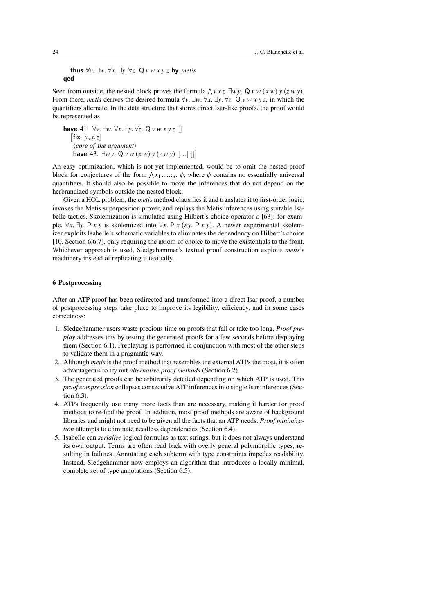thus <sup>∀</sup>*v*. <sup>∃</sup>*w*. <sup>∀</sup>*x*. <sup>∃</sup>*y*. <sup>∀</sup>*z*. <sup>Q</sup> *v w x y z* by *metis* qed

Seen from outside, the nested block proves the formula  $\bigwedge v x z$ .  $\exists w y$ . Q *v w* (*x w*) *y* (*z w y*).<br>From there *met*is derives the desired formula  $\forall v \exists w \forall r \exists v \forall z$ . O *v w x y z* in which the From there, *metis* derives the desired formula <sup>∀</sup>*v*. <sup>∃</sup>*w*. <sup>∀</sup>*x*. <sup>∃</sup>*y*. <sup>∀</sup>*z*. <sup>Q</sup> *v w x y z*, in which the quantifiers alternate. In the data structure that stores direct Isar-like proofs, the proof would be represented as

**have** 41:  $\forall v$ . ∃*w*.  $\forall x$ . ∃*y*.  $\forall z$ . Q *v w x y z* []  $\begin{bmatrix} \textbf{fix} & [v, x, z] \\ \textbf{f} & \textbf{c} & \textbf{r} \end{bmatrix}$ *(core of the argument)* **have** 43: ∃*wy*. Q *v w* (*x w*) *y* (*z w y*) [...] []]

An easy optimization, which is not yet implemented, would be to omit the nested proof block for conjectures of the form  $\lambda x_1 \dots x_n$ .  $\phi$ , where  $\phi$  contains no essentially universal<br>quantifiers. It should also be possible to move the inferences that do not depend on the quantifiers. It should also be possible to move the inferences that do not depend on the herbrandized symbols outside the nested block.

Given a HOL problem, the *metis* method clausifies it and translates it to first-order logic, invokes the Metis superposition prover, and replays the Metis inferences using suitable Isabelle tactics. Skolemization is simulated using Hilbert's choice operator  $\varepsilon$  [\[63\]](#page-43-4); for example,  $∀x$ . ∃*y*. P *x y* is skolemized into  $∀x$ . P *x* (*εy*. P *x y*). A newer experimental skolemizer exploits Isabelle's schematic variables to eliminates the dependency on Hilbert's choice [\[10,](#page-41-6) Section 6.6.7], only requiring the axiom of choice to move the existentials to the front. Whichever approach is used, Sledgehammer's textual proof construction exploits *metis*'s machinery instead of replicating it textually.

## <span id="page-23-0"></span>6 Postprocessing

After an ATP proof has been redirected and transformed into a direct Isar proof, a number of postprocessing steps take place to improve its legibility, efficiency, and in some cases correctness:

- 1. Sledgehammer users waste precious time on proofs that fail or take too long. *Proof preplay* addresses this by testing the generated proofs for a few seconds before displaying them (Section [6.1\)](#page-24-0). Preplaying is performed in conjunction with most of the other steps to validate them in a pragmatic way.
- 2. Although *metis* is the proof method that resembles the external ATPs the most, it is often advantageous to try out *alternative proof methods* (Section [6.2\)](#page-25-0).
- 3. The generated proofs can be arbitrarily detailed depending on which ATP is used. This *proof compression* collapses consecutive ATP inferences into single Isar inferences (Section [6.3\)](#page-25-1).
- 4. ATPs frequently use many more facts than are necessary, making it harder for proof methods to re-find the proof. In addition, most proof methods are aware of background libraries and might not need to be given all the facts that an ATP needs. *Proof minimization* attempts to eliminate needless dependencies (Section [6.4\)](#page-26-0).
- 5. Isabelle can *serialize* logical formulas as text strings, but it does not always understand its own output. Terms are often read back with overly general polymorphic types, resulting in failures. Annotating each subterm with type constraints impedes readability. Instead, Sledgehammer now employs an algorithm that introduces a locally minimal, complete set of type annotations (Section [6.5\)](#page-27-0).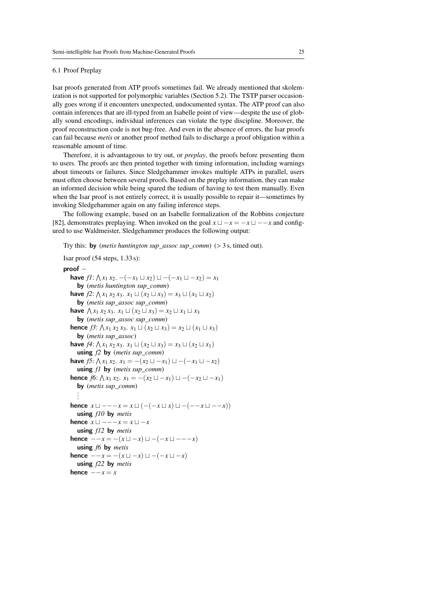#### <span id="page-24-0"></span>6.1 Proof Preplay

Isar proofs generated from ATP proofs sometimes fail. We already mentioned that skolemization is not supported for polymorphic variables (Section [5.2\)](#page-22-0). The TSTP parser occasionally goes wrong if it encounters unexpected, undocumented syntax. The ATP proof can also contain inferences that are ill-typed from an Isabelle point of view—despite the use of globally sound encodings, individual inferences can violate the type discipline. Moreover, the proof reconstruction code is not bug-free. And even in the absence of errors, the Isar proofs can fail because *metis* or another proof method fails to discharge a proof obligation within a reasonable amount of time.

Therefore, it is advantageous to try out, or *preplay*, the proofs before presenting them to users. The proofs are then printed together with timing information, including warnings about timeouts or failures. Since Sledgehammer invokes multiple ATPs in parallel, users must often choose between several proofs. Based on the preplay information, they can make an informed decision while being spared the tedium of having to test them manually. Even when the Isar proof is not entirely correct, it is usually possible to repair it—sometimes by invoking Sledgehammer again on any failing inference steps.

The following example, based on an Isabelle formalization of the Robbins conjecture [\[82\]](#page-44-8), demonstrates preplaying. When invoked on the goal  $x \sqcup -x = -x \sqcup -x$  and configured to use Waldmeister, Sledgehammer produces the following output:

Try this: by (*metis huntington sup\_assoc sup\_comm*) (> 3 s, timed out).

```
Isar proof (54 steps, 1.33 s):
proof −
    have f1: \Lambda x_1 x_2. −(−x<sub>1</sub> \sqcup x_2) \sqcup −(−x<sub>1</sub> \sqcup −x<sub>2</sub>) = x<sub>1</sub><br>
hy (metis huntington sup comm)
       by (metis huntington sup_comm)
    have f2: \bigwedge x_1 x_2 x_3, x_1 \sqcup (x_2 \sqcup x_3) = x_3 \sqcup (x_1 \sqcup x_2)<br>
by (metis sup assoc sup comm)
       by (metis sup_assoc sup_comm)
    have \bigwedge x_1 x_2 x_3. x_1 \sqcup (x_2 \sqcup x_3) = x_2 \sqcup x_1 \sqcup x_3<br>by (metis sup assoc sup comm)
       by (metis sup_assoc sup_comm)
    hence f3: \bigwedge x_1 x_2 x_3. x_1 \sqcup (x_2 \sqcup x_3) = x_2 \sqcup (x_1 \sqcup x_3)<br>
by (metis sup assoc)
       by (metis sup_assoc)
    have f4: \bigwedge x_1 x_2 x_3, x_1 \sqcup (x_2 \sqcup x_3) = x_3 \sqcup (x_2 \sqcup x_1)<br>using f2 by (metis sun, comm)
       using f2 by (metis sup_comm)
    have f5: \bigwedge x_1 x_2. x_1 = -(x_2 \sqcup -x_1) \sqcup -(x_1 \sqcup -x_2)<br>
using f1 hy (metis sup comm)
       using f1 by (metis sup_comm)
    hence f6: \bigwedge x_1 x_2. x_1 = -(x_2 \sqcup -x_1) \sqcup -(x_2 \sqcup -x_1)<br>
by (metis sup comm)
       by (metis sup_comm)
        .
.
.
   hence x \sqcup - - -x = x \sqcup (-(-x \sqcup x) \sqcup -(-x \sqcup -x))using f10 by metis
   hence x \sqcup -\{-x = x \sqcup -xusing f12 by metis
   hence -−x = -(x \sqcup -x) \sqcup -(-x \sqcup -−-x)using f6 by metis
   hence -−x = -(x \sqcup -x) \sqcup -(-x \sqcup -x)using f22 by metis
   hence -x=x
```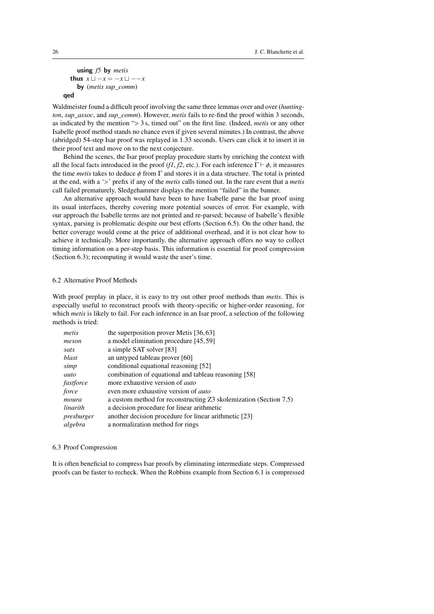```
using f5 by metis
  thus x \sqcup -x = -x \sqcup -xby (metis sup_comm)
qed
```
Waldmeister found a difficult proof involving the same three lemmas over and over (*huntington*, *sup\_assoc*, and *sup\_comm*). However, *metis* fails to re-find the proof within 3 seconds, as indicated by the mention "> 3 s, timed out" on the first line. (Indeed, *metis* or any other Isabelle proof method stands no chance even if given several minutes.) In contrast, the above (abridged) 54-step Isar proof was replayed in 1.33 seconds. Users can click it to insert it in their proof text and move on to the next conjecture.

Behind the scenes, the Isar proof preplay procedure starts by enriching the context with all the local facts introduced in the proof (*f1*, *f2*, etc.). For each inference  $\Gamma \vdash \phi$ , it measures the time *metis* takes to deduce φ from <sup>Γ</sup> and stores it in a data structure. The total is printed at the end, with a '>' prefix if any of the *metis* calls timed out. In the rare event that a *metis* call failed prematurely, Sledgehammer displays the mention "failed" in the banner.

An alternative approach would have been to have Isabelle parse the Isar proof using its usual interfaces, thereby covering more potential sources of error. For example, with our approach the Isabelle terms are not printed and re-parsed; because of Isabelle's flexible syntax, parsing is problematic despite our best efforts (Section [6.5\)](#page-27-0). On the other hand, the better coverage would come at the price of additional overhead, and it is not clear how to achieve it technically. More importantly, the alternative approach offers no way to collect timing information on a per-step basis. This information is essential for proof compression (Section [6.3\)](#page-25-1); recomputing it would waste the user's time.

## <span id="page-25-0"></span>6.2 Alternative Proof Methods

With proof preplay in place, it is easy to try out other proof methods than *metis*. This is especially useful to reconstruct proofs with theory-specific or higher-order reasoning, for which *metis* is likely to fail. For each inference in an Isar proof, a selection of the following methods is tried:

| metis      | the superposition prover Metis [36,63]                            |
|------------|-------------------------------------------------------------------|
| meson      | a model elimination procedure [45,59]                             |
| satx       | a simple SAT solver [83]                                          |
| blast      | an untyped tableau prover [60]                                    |
| simp       | conditional equational reasoning [52]                             |
| auto       | combination of equational and tableau reasoning [58]              |
| fastforce  | more exhaustive version of <i>auto</i>                            |
| force      | even more exhaustive version of <i>auto</i>                       |
| moura      | a custom method for reconstructing Z3 skolemization (Section 7.5) |
| linarith   | a decision procedure for linear arithmetic                        |
| presburger | another decision procedure for linear arithmetic [23]             |
| algebra    | a normalization method for rings                                  |

#### <span id="page-25-1"></span>6.3 Proof Compression

It is often beneficial to compress Isar proofs by eliminating intermediate steps. Compressed proofs can be faster to recheck. When the Robbins example from Section [6.1](#page-24-0) is compressed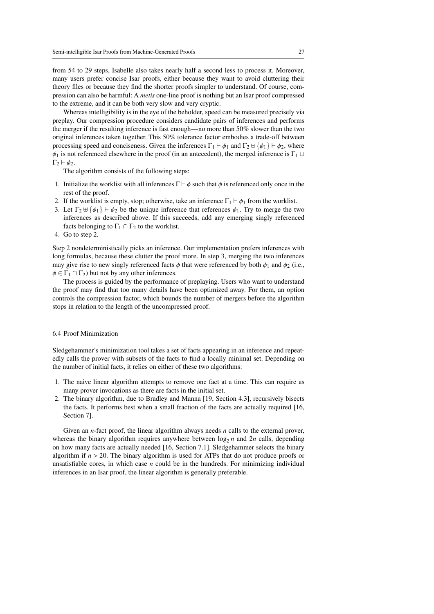from 54 to 29 steps, Isabelle also takes nearly half a second less to process it. Moreover, many users prefer concise Isar proofs, either because they want to avoid cluttering their theory files or because they find the shorter proofs simpler to understand. Of course, compression can also be harmful: A *metis* one-line proof is nothing but an Isar proof compressed to the extreme, and it can be both very slow and very cryptic.

Whereas intelligibility is in the eye of the beholder, speed can be measured precisely via preplay. Our compression procedure considers candidate pairs of inferences and performs the merger if the resulting inference is fast enough—no more than 50% slower than the two original inferences taken together. This 50% tolerance factor embodies a trade-off between processing speed and conciseness. Given the inferences  $\Gamma_1 \vdash \phi_1$  and  $\Gamma_2 \uplus {\phi_1} \vdash \phi_2$ , where  $\phi_1$  is not referenced elsewhere in the proof (in an antecedent), the merged inference is  $\Gamma_1 \cup$  $\Gamma_2 \vdash \phi_2.$ 

The algorithm consists of the following steps:

- 1. Initialize the worklist with all inferences  $\Gamma \vdash \phi$  such that  $\phi$  is referenced only once in the rest of the proof.
- 2. If the worklist is empty, stop; otherwise, take an inference  $\Gamma_1 \vdash \phi_1$  from the worklist.
- 3. Let  $\Gamma_2 \oplus {\phi_1} \vdash \phi_2$  be the unique inference that references  $\phi_1$ . Try to merge the two inferences as described above. If this succeeds, add any emerging singly referenced facts belonging to  $\Gamma_1 \cap \Gamma_2$  to the worklist.
- 4. Go to step 2.

Step 2 nondeterministically picks an inference. Our implementation prefers inferences with long formulas, because these clutter the proof more. In step 3, merging the two inferences may give rise to new singly referenced facts  $\phi$  that were referenced by both  $\phi_1$  and  $\phi_2$  (i.e.,  $\phi \in \Gamma_1 \cap \Gamma_2$ ) but not by any other inferences.

The process is guided by the performance of preplaying. Users who want to understand the proof may find that too many details have been optimized away. For them, an option controls the compression factor, which bounds the number of mergers before the algorithm stops in relation to the length of the uncompressed proof.

## <span id="page-26-0"></span>6.4 Proof Minimization

Sledgehammer's minimization tool takes a set of facts appearing in an inference and repeatedly calls the prover with subsets of the facts to find a locally minimal set. Depending on the number of initial facts, it relies on either of these two algorithms:

- 1. The naive linear algorithm attempts to remove one fact at a time. This can require as many prover invocations as there are facts in the initial set.
- 2. The binary algorithm, due to Bradley and Manna [\[19,](#page-42-22) Section 4.3], recursively bisects the facts. It performs best when a small fraction of the facts are actually required [\[16,](#page-42-23) Section 7].

Given an *n*-fact proof, the linear algorithm always needs *n* calls to the external prover, whereas the binary algorithm requires anywhere between  $\log_2 n$  and  $2n$  calls, depending on how many facts are actually needed [\[16,](#page-42-23) Section 7.1]. Sledgehammer selects the binary algorithm if  $n > 20$ . The binary algorithm is used for ATPs that do not produce proofs or unsatisfiable cores, in which case *n* could be in the hundreds. For minimizing individual inferences in an Isar proof, the linear algorithm is generally preferable.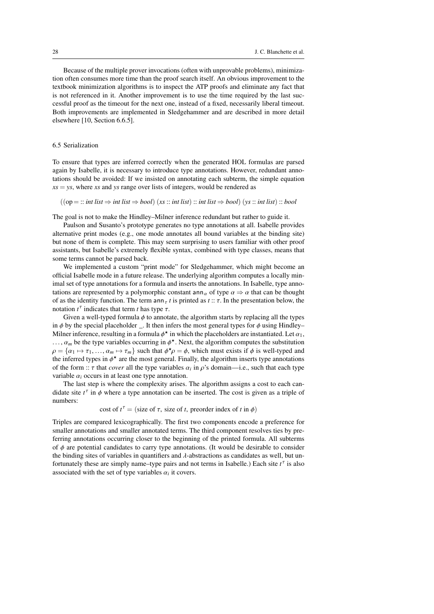Because of the multiple prover invocations (often with unprovable problems), minimization often consumes more time than the proof search itself. An obvious improvement to the textbook minimization algorithms is to inspect the ATP proofs and eliminate any fact that is not referenced in it. Another improvement is to use the time required by the last successful proof as the timeout for the next one, instead of a fixed, necessarily liberal timeout. Both improvements are implemented in Sledgehammer and are described in more detail elsewhere [\[10,](#page-41-6) Section 6.6.5].

## <span id="page-27-0"></span>6.5 Serialization

To ensure that types are inferred correctly when the generated HOL formulas are parsed again by Isabelle, it is necessary to introduce type annotations. However, redundant annotations should be avoided: If we insisted on annotating each subterm, the simple equation  $xs = ys$ , where *xs* and *ys* range over lists of integers, would be rendered as

 $((op = :: int list \Rightarrow int list \Rightarrow bool)$  (*xs* :: *int list*) :: *int list*  $\Rightarrow bool)$  (*ys* :: *int list*) :: *bool* 

The goal is not to make the Hindley–Milner inference redundant but rather to guide it.

Paulson and Susanto's prototype generates no type annotations at all. Isabelle provides alternative print modes (e.g., one mode annotates all bound variables at the binding site) but none of them is complete. This may seem surprising to users familiar with other proof assistants, but Isabelle's extremely flexible syntax, combined with type classes, means that some terms cannot be parsed back.

We implemented a custom "print mode" for Sledgehammer, which might become an official Isabelle mode in a future release. The underlying algorithm computes a locally minimal set of type annotations for a formula and inserts the annotations. In Isabelle, type annotations are represented by a polymorphic constant ann<sub>α</sub> of type  $\alpha \Rightarrow \alpha$  that can be thought of as the identity function. The term  $\tan \tau t$  is printed as  $t :: \tau$ . In the presentation below, the notation *t*<sup>τ</sup> indicates that term *t* has type τ.<br>
Given a well-typed formula φ to annote

Given a well-typed formula  $\phi$  to annotate, the algorithm starts by replacing all the types in  $\phi$  by the special placeholder \_. It then infers the most general types for  $\phi$  using Hindley– Milner inference, resulting in a formula  $\phi^*$  in which the placeholders are instantiated. Let  $\alpha_1$ ,  $\alpha_2$  be the type variables occurring in  $\phi^*$ . Next, the algorithm computes the substitution  $\ldots$ ,  $\alpha_m$  be the type variables occurring in  $\phi^*$ . Next, the algorithm computes the substitution  $\alpha = \{\alpha : \exists \alpha \in \mathcal{X} \mid \alpha \in \mathcal{X} \mid \alpha \in \mathcal{X} \mid \alpha \neq \alpha \}$  $\rho = {\alpha_1 \mapsto \tau_1, ..., \alpha_m \mapsto \tau_m}$  such that  $\phi^{\star} \rho = \phi$ , which must exists if  $\phi$  is well-typed and the inferred types in  $\phi^{\star}$  are the most general. Finally, the algorithm inserts type annotations the inferred types in  $\phi^*$  are the most general. Finally, the algorithm inserts type annotations<br>of the form  $\phi^*$  that cover all the type variables  $\alpha$ , in  $\alpha$ 's domain—i.e., such that each type of the form ::  $\tau$  that *cover* all the type variables  $\alpha_i$  in  $\rho$ 's domain—i.e., such that each type variable  $\alpha$ : occurs in at least one type annotation variable  $\alpha_i$  occurs in at least one type annotation.

The last step is where the complexity arises. The algorithm assigns a cost to each candidate site  $t^{\tau}$  in  $\phi$  where a type annotation can be inserted. The cost is given as a triple of numbers: numbers:

# cost of  $t^{\tau}$  = (size of  $\tau$ , size of *t*, preorder index of *t* in  $\phi$ )

Triples are compared lexicographically. The first two components encode a preference for smaller annotations and smaller annotated terms. The third component resolves ties by preferring annotations occurring closer to the beginning of the printed formula. All subterms of  $\phi$  are potential candidates to carry type annotations. (It would be desirable to consider the binding sites of variables in quantifiers and  $\lambda$ -abstractions as candidates as well, but unfortunately these are simply name–type pairs and not terms in Isabelle.) Each site  $t^{\tau}$  is also associated with the set of type variables  $\alpha_i$  it covers.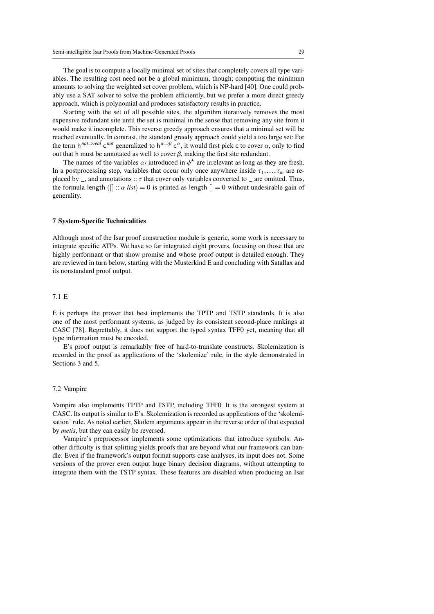The goal is to compute a locally minimal set of sites that completely covers all type variables. The resulting cost need not be a global minimum, though; computing the minimum amounts to solving the weighted set cover problem, which is NP-hard [\[40\]](#page-42-24). One could probably use a SAT solver to solve the problem efficiently, but we prefer a more direct greedy approach, which is polynomial and produces satisfactory results in practice.

Starting with the set of all possible sites, the algorithm iteratively removes the most expensive redundant site until the set is minimal in the sense that removing any site from it would make it incomplete. This reverse greedy approach ensures that a minimal set will be reached eventually. In contrast, the standard greedy approach could yield a too large set: For the term h<sup>nat⇒real</sup> c<sup>nat</sup> generalized to h<sup> $\alpha \to \beta$ </sup> c<sup> $\alpha$ </sup>, it would first pick c to cover  $\alpha$ , only to find out that h must be annotated as well to cover  $\beta$ , making the first site redundant out that h must be annotated as well to cover  $\beta$ , making the first site redundant.

The names of the variables  $\alpha_i$  introduced in  $\phi^*$  are irrelevant as long as they are fresh.<br>nostprocessing step, variables that occur only once anywhere inside  $\tau_i$ . In a postprocessing step, variables that occur only once anywhere inside  $\tau_1, \ldots, \tau_m$  are replaced by \_, and annotations ::  $\tau$  that cover only variables converted to \_ are omitted. Thus, the formula length  $([] :: \alpha list) = 0$  is printed as length  $[] = 0$  without undesirable gain of generality.

## <span id="page-28-0"></span>7 System-Specific Technicalities

Although most of the Isar proof construction module is generic, some work is necessary to integrate specific ATPs. We have so far integrated eight provers, focusing on those that are highly performant or that show promise and whose proof output is detailed enough. They are reviewed in turn below, starting with the Musterkind E and concluding with Satallax and its nonstandard proof output.

## 7.1 E

E is perhaps the prover that best implements the TPTP and TSTP standards. It is also one of the most performant systems, as judged by its consistent second-place rankings at CASC [\[78\]](#page-44-5). Regrettably, it does not support the typed syntax TFF0 yet, meaning that all type information must be encoded.

E's proof output is remarkably free of hard-to-translate constructs. Skolemization is recorded in the proof as applications of the 'skolemize' rule, in the style demonstrated in Sections [3](#page-7-0) and [5.](#page-21-0)

## 7.2 Vampire

Vampire also implements TPTP and TSTP, including TFF0. It is the strongest system at CASC. Its output is similar to E's. Skolemization is recorded as applications of the 'skolemisation' rule. As noted earlier, Skolem arguments appear in the reverse order of that expected by *metis*, but they can easily be reversed.

Vampire's preprocessor implements some optimizations that introduce symbols. Another difficulty is that splitting yields proofs that are beyond what our framework can handle: Even if the framework's output format supports case analyses, its input does not. Some versions of the prover even output huge binary decision diagrams, without attempting to integrate them with the TSTP syntax. These features are disabled when producing an Isar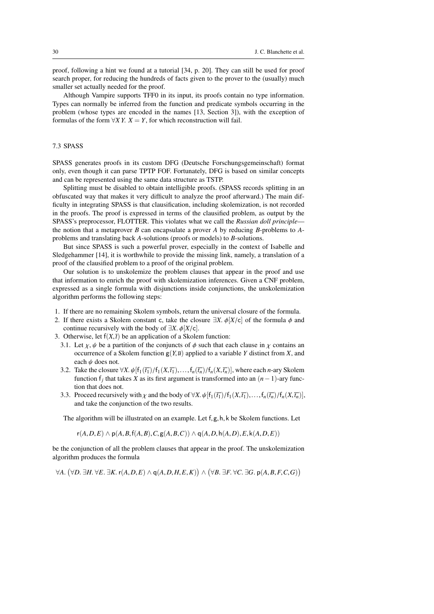proof, following a hint we found at a tutorial [\[34,](#page-42-25) p. 20]. They can still be used for proof search proper, for reducing the hundreds of facts given to the prover to the (usually) much smaller set actually needed for the proof.

Although Vampire supports TFF0 in its input, its proofs contain no type information. Types can normally be inferred from the function and predicate symbols occurring in the problem (whose types are encoded in the names [\[13,](#page-41-1) Section 3]), with the exception of formulas of the form  $\forall X \, Y$ .  $X = Y$ , for which reconstruction will fail.

## <span id="page-29-0"></span>7.3 SPASS

SPASS generates proofs in its custom DFG (Deutsche Forschungsgemeinschaft) format only, even though it can parse TPTP FOF. Fortunately, DFG is based on similar concepts and can be represented using the same data structure as TSTP.

Splitting must be disabled to obtain intelligible proofs. (SPASS records splitting in an obfuscated way that makes it very difficult to analyze the proof afterward.) The main difficulty in integrating SPASS is that clausification, including skolemization, is not recorded in the proofs. The proof is expressed in terms of the clausified problem, as output by the SPASS's preprocessor, FLOTTER. This violates what we call the *Russian doll principle* the notion that a metaprover *B* can encapsulate a prover *A* by reducing *B*-problems to *A*problems and translating back *A*-solutions (proofs or models) to *B*-solutions.

But since SPASS is such a powerful prover, especially in the context of Isabelle and Sledgehammer [\[14\]](#page-41-10), it is worthwhile to provide the missing link, namely, a translation of a proof of the clausified problem to a proof of the original problem.

Our solution is to unskolemize the problem clauses that appear in the proof and use that information to enrich the proof with skolemization inferences. Given a CNF problem, expressed as a single formula with disjunctions inside conjunctions, the unskolemization algorithm performs the following steps:

- 1. If there are no remaining Skolem symbols, return the universal closure of the formula.
- 2. If there exists a Skolem constant c, take the closure  $\exists X$ .  $\phi[X/c]$  of the formula  $\phi$  and continue recursively with the body of  $\exists X$ .  $\phi[X/c]$ .
- 3. Otherwise, let  $f(X, \overline{t})$  be an application of a Skolem function:
	- 3.1. Let  $\chi$ ,  $\psi$  be a partition of the conjuncts of  $\phi$  such that each clause in  $\chi$  contains an occurrence of a Skolem function  $g(Y,\overline{u})$  applied to a variable *Y* distinct from *X*, and each ψ does not.
	- 3.2. Take the closure  $\forall X \psi[f_1(\overline{t_1})/f_1(X,\overline{t_1}),\ldots,f_n(\overline{t_n})/f_n(X,\overline{t_n})]$ , where each *n*-ary Skolem function  $f_j$  that takes *X* as its first argument is transformed into an  $(n-1)$ -ary function that does not.
	- 3.3. Proceed recursively with  $\chi$  and the body of  $\forall X$ .  $\psi[f_1(\overline{t_1})/f_1(X,\overline{t_1}),...,f_n(\overline{t_n})/f_n(X,\overline{t_n})]$ , and take the conjunction of the two results.

The algorithm will be illustrated on an example. Let <sup>f</sup>,g,h,<sup>k</sup> be Skolem functions. Let

 $r(A, D, E)$  ∧  $p(A, B, f(A, B), C, g(A, B, C))$  ∧  $q(A, D, h(A, D), E, k(A, D, E))$ 

be the conjunction of all the problem clauses that appear in the proof. The unskolemization algorithm produces the formula

 $\forall A. (\forall D. \ \exists H. \ \forall E. \ \exists K. \ r(A, D, E) \land q(A, D, H, E, K)) \land (\forall B. \ \exists F. \ \forall C. \ \exists G. \ p(A, B, F, C, G))$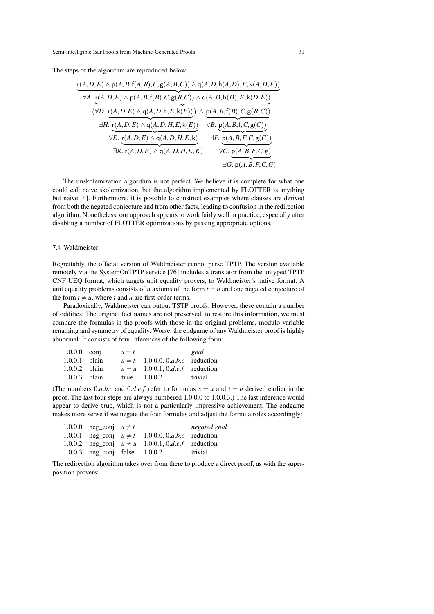The steps of the algorithm are reproduced below:

$$
\frac{\mathsf{r}(A,D,E) \land \mathsf{p}(A,B,\mathsf{f}(A,B),C,g(A,B,C)) \land \mathsf{q}(A,D,\mathsf{h}(A,D),E,\mathsf{k}(A,D,E))}{\forall A.\ \mathsf{r}(A,D,E) \land \mathsf{p}(A,B,\mathsf{f}(B),C,g(B,C)) \land \mathsf{q}(A,D,\mathsf{h}(D),E,\mathsf{k}(D,E))}
$$
\n
$$
(\forall D.\ \mathsf{r}(A,D,E) \land \mathsf{q}(A,D,\mathsf{h},E,\mathsf{k}(E))) \land \mathsf{p}(A,B,\mathsf{f}(B),C,g(B,C))
$$
\n
$$
\exists H.\ \mathsf{r}(A,D,E) \land \mathsf{q}(A,D,H,E,\mathsf{k}(E)) \quad \forall B.\ \mathsf{p}(A,B,\mathsf{f},C,\mathsf{g}(C))
$$
\n
$$
\forall E.\ \mathsf{r}(A,D,E) \land \mathsf{q}(A,D,H,E,\mathsf{k}) \quad \exists F.\ \mathsf{p}(A,B,F,C,\mathsf{g}(C))
$$
\n
$$
\exists K.\ \mathsf{r}(A,D,E) \land \mathsf{q}(A,D,H,E,K) \quad \forall C.\ \mathsf{p}(A,B,F,C,\mathsf{g})
$$
\n
$$
\exists G.\ \mathsf{p}(A,B,F,C,G)
$$

The unskolemization algorithm is not perfect. We believe it is complete for what one could call naive skolemization, but the algorithm implemented by FLOTTER is anything but naive [\[4\]](#page-41-2). Furthermore, it is possible to construct examples where clauses are derived from both the negated conjecture and from other facts, leading to confusion in the redirection algorithm. Nonetheless, our approach appears to work fairly well in practice, especially after disabling a number of FLOTTER optimizations by passing appropriate options.

#### <span id="page-30-0"></span>7.4 Waldmeister

Regrettably, the official version of Waldmeister cannot parse TPTP. The version available remotely via the SystemOnTPTP service [\[76\]](#page-43-25) includes a translator from the untyped TPTP CNF UEQ format, which targets unit equality provers, to Waldmeister's native format. A unit equality problems consists of *n* axioms of the form  $t = u$  and one negated conjecture of the form  $t \neq u$ , where *t* and *u* are first-order terms.

Paradoxically, Waldmeister can output TSTP proofs. However, these contain a number of oddities: The original fact names are not preserved; to restore this information, we must compare the formulas in the proofs with those in the original problems, modulo variable renaming and symmetry of equality. Worse, the endgame of any Waldmeister proof is highly abnormal. It consists of four inferences of the following form:

| $1.0.0.0$ conj  | $s = t$ |                                            | goal    |
|-----------------|---------|--------------------------------------------|---------|
| $1.0.0.1$ plain |         | $u = t$ 1.0.0.0, 0. <i>a.b.c</i> reduction |         |
| $1.0.0.2$ plain |         | $u = u$ 1.0.0.1, 0.d.e.f reduction         |         |
| $1.0.0.3$ plain |         | true $1.0.0.2$                             | trivial |

(The numbers 0.*a.b.c* and 0.*d.e.f* refer to formulas  $s = u$  and  $t = u$  derived earlier in the proof. The last four steps are always numbered 1.0.0.0 to 1.0.0.3.) The last inference would appear to derive true, which is not a particularly impressive achievement. The endgame makes more sense if we negate the four formulas and adjust the formula roles accordingly:

| 1.0.0.0 neg_conj $s \neq t$          |                                                                | negated goal |
|--------------------------------------|----------------------------------------------------------------|--------------|
|                                      | 1.0.0.1 neg_conj $u \neq t$ 1.0.0.0, 0. <i>a.b.c</i> reduction |              |
|                                      | 1.0.0.2 neg_conj $u \neq u$ 1.0.0.1, 0.d.e.f reduction         |              |
| 1.0.0.3 $neg_{conj}$ false $1.0.0.2$ |                                                                | trivial      |

The redirection algorithm takes over from there to produce a direct proof, as with the superposition provers: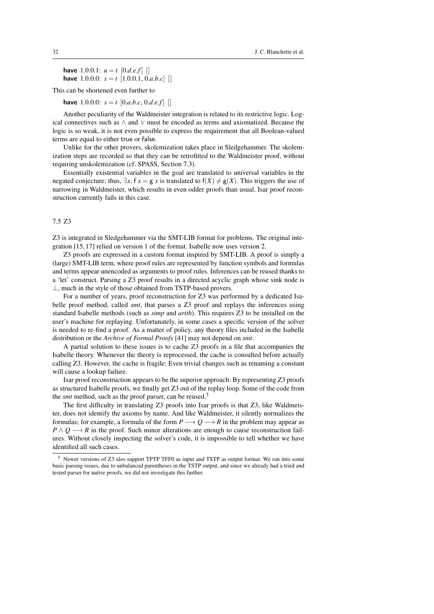have 1.0.0.1:  $u = t$  [0.*d.e.f*] [] have 1.0.0.0:  $s = t$  [1.0.0.1, 0.*a.b.c*] []

This can be shortened even further to

have  $1.0.0.0$ :  $s = t$   $[0.a.b.c, 0.d.e.f]$  []

Another peculiarity of the Waldmeister integration is related to its restrictive logic. Logical connectives such as ∧ and ∨ must be encoded as terms and axiomatized. Because the logic is so weak, it is not even possible to express the requirement that all Boolean-valued terms are equal to either true or false.

Unlike for the other provers, skolemization takes place in Sledgehammer. The skolemization steps are recorded so that they can be retrofitted to the Waldmeister proof, without requiring unskolemization (cf. SPASS, Section [7.3\)](#page-29-0).

Essentially existential variables in the goal are translated to universal variables in the negated conjecture; thus,  $\exists x$ . f  $x = g x$  is translated to  $f(X) \neq g(X)$ . This triggers the use of narrowing in Waldmeister, which results in even odder proofs than usual. Isar proof reconstruction currently fails in this case.

## <span id="page-31-0"></span>7.5 Z3

Z3 is integrated in Sledgehammer via the SMT-LIB format for problems. The original integration [\[15,](#page-42-1) [17\]](#page-42-2) relied on version 1 of the format. Isabelle now uses version 2.

Z3 proofs are expressed in a custom format inspired by SMT-LIB. A proof is simply a (large) SMT-LIB term, where proof rules are represented by function symbols and formulas and terms appear unencoded as arguments to proof rules. Inferences can be reused thanks to a 'let' construct. Parsing a Z3 proof results in a directed acyclic graph whose sink node is ⊥, much in the style of those obtained from TSTP-based provers.

For a number of years, proof reconstruction for Z3 was performed by a dedicated Isabelle proof method, called *smt*, that parses a Z3 proof and replays the inferences using standard Isabelle methods (such as *simp* and *arith*). This requires Z3 to be installed on the user's machine for replaying. Unfortunately, in some cases a specific version of the solver is needed to re-find a proof. As a matter of policy, any theory files included in the Isabelle distribution or the *Archive of Formal Proofs* [\[41\]](#page-42-26) may not depend on *smt*.

A partial solution to these issues is to cache Z3 proofs in a file that accompanies the Isabelle theory. Whenever the theory is reprocessed, the cache is consulted before actually calling Z3. However, the cache is fragile: Even trivial changes such as renaming a constant will cause a lookup failure.

Isar proof reconstruction appears to be the superior approach: By representing Z3 proofs as structured Isabelle proofs, we finally get Z3 out of the replay loop. Some of the code from the *smt* method, such as the proof parser, can be reused.<sup>[5](#page-31-1)</sup>

The first difficulty in translating Z3 proofs into Isar proofs is that Z3, like Waldmeister, does not identify the axioms by name. And like Waldmeister, it silently normalizes the formulas; for example, a formula of the form  $P \longrightarrow Q \longrightarrow R$  in the problem may appear as  $P \wedge Q \longrightarrow R$  in the proof. Such minor alterations are enough to cause reconstruction failures. Without closely inspecting the solver's code, it is impossible to tell whether we have identified all such cases.

<span id="page-31-1"></span><sup>5</sup> Newer versions of Z3 also support TPTP TFF0 as input and TSTP as output format. We ran into some basic parsing issues, due to unbalanced parentheses in the TSTP output, and since we already had a tried and tested parser for native proofs, we did not investigate this further.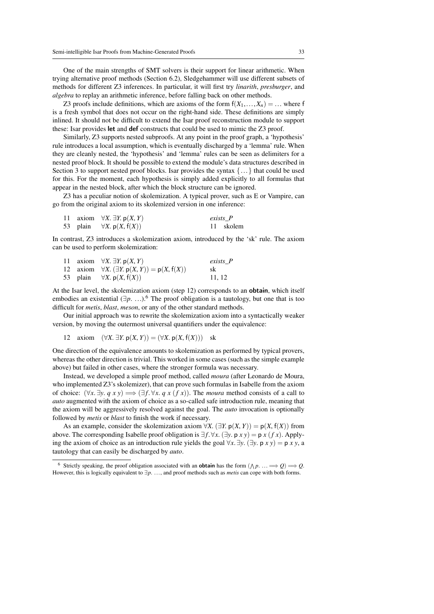One of the main strengths of SMT solvers is their support for linear arithmetic. When trying alternative proof methods (Section [6.2\)](#page-25-0), Sledgehammer will use different subsets of methods for different Z3 inferences. In particular, it will first try *linarith*, *presburger*, and *algebra* to replay an arithmetic inference, before falling back on other methods.

Z3 proofs include definitions, which are axioms of the form  $f(X_1,...,X_n) = ...$  where f is a fresh symbol that does not occur on the right-hand side. These definitions are simply inlined. It should not be difficult to extend the Isar proof reconstruction module to support these: Isar provides let and def constructs that could be used to mimic the Z3 proof.

Similarly, Z3 supports nested subproofs. At any point in the proof graph, a 'hypothesis' rule introduces a local assumption, which is eventually discharged by a 'lemma' rule. When they are cleanly nested, the 'hypothesis' and 'lemma' rules can be seen as delimiters for a nested proof block. It should be possible to extend the module's data structures described in Section [3](#page-7-0) to support nested proof blocks. Isar provides the syntax {...} that could be used for this. For the moment, each hypothesis is simply added explicitly to all formulas that appear in the nested block, after which the block structure can be ignored.

Z3 has a peculiar notion of skolemization. A typical prover, such as E or Vampire, can go from the original axiom to its skolemized version in one inference:

|  | 11 axiom $\forall X$ . $\exists Y$ . $p(X, Y)$ | exists P  |
|--|------------------------------------------------|-----------|
|  | 53 plain $\forall X. p(X, f(X))$               | 11 skolem |
|  |                                                |           |

In contrast, Z3 introduces a skolemization axiom, introduced by the 'sk' rule. The axiom can be used to perform skolemization:

|  | 11 axiom $\forall X$ . $\exists Y$ . $p(X, Y)$          | exists P |
|--|---------------------------------------------------------|----------|
|  | 12 axiom $\forall X. (\exists Y. p(X, Y)) = p(X, f(X))$ | sk       |
|  | 53 plain $\forall X. p(X, f(X))$                        | 11.12    |
|  |                                                         |          |

At the Isar level, the skolemization axiom (step 12) corresponds to an obtain, which itself embodies an existential (∃*p*. ...).[6](#page-32-0) The proof obligation is a tautology, but one that is too difficult for *metis*, *blast*, *meson*, or any of the other standard methods.

Our initial approach was to rewrite the skolemization axiom into a syntactically weaker version, by moving the outermost universal quantifiers under the equivalence:

12 axiom  $(\forall X. \exists Y. \mathsf{p}(X, Y)) = (\forall X. \mathsf{p}(X, \mathsf{f}(X)))$  sk

One direction of the equivalence amounts to skolemization as performed by typical provers, whereas the other direction is trivial. This worked in some cases (such as the simple example above) but failed in other cases, where the stronger formula was necessary.

Instead, we developed a simple proof method, called *moura* (after Leonardo de Moura, who implemented Z3's skolemizer), that can prove such formulas in Isabelle from the axiom of choice:  $(\forall x. \exists y. q \ x \ y) \Longrightarrow (\exists f. \forall x. q \ x (f \ x))$ . The *moura* method consists of a call to *auto* augmented with the axiom of choice as a so-called safe introduction rule, meaning that the axiom will be aggressively resolved against the goal. The *auto* invocation is optionally followed by *metis* or *blast* to finish the work if necessary.

As an example, consider the skolemization axiom  $\forall X$ . ( $\exists Y$ ,  $p(X, Y)$ ) =  $p(X, f(X))$  from above. The corresponding Isabelle proof obligation is  $\exists f. \forall x. (\exists y. \mathsf{p} \ x \ y) = \mathsf{p} \ x \ (f \ x)$ . Applying the axiom of choice as an introduction rule yields the goal  $\forall x \cdot \exists y \cdot (\exists y \cdot \mathbf{p} \times y) = \mathbf{p} \times y$ , a tautology that can easily be discharged by *auto*.

<span id="page-32-0"></span><sup>6</sup> Strictly speaking, the proof obligation associated with an **obtain** has the form  $(\land p, \ldots \implies Q) \implies Q$ . However, this is logically equivalent to <sup>∃</sup>*p*. ..., and proof methods such as *metis* can cope with both forms.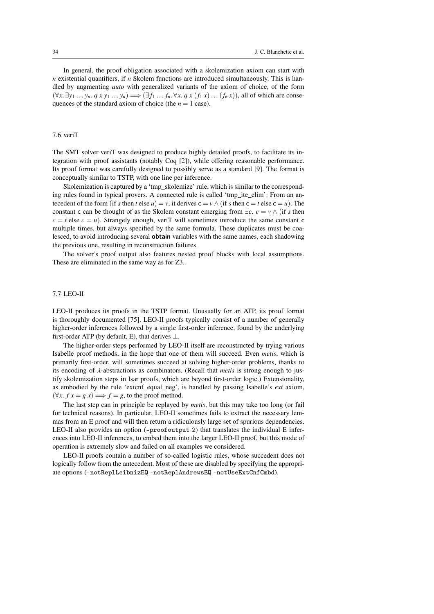In general, the proof obligation associated with a skolemization axiom can start with *n* existential quantifiers, if *n* Skolem functions are introduced simultaneously. This is handled by augmenting *auto* with generalized variants of the axiom of choice, of the form  $(\forall x. \exists y_1 \dots y_n. q x y_1 \dots y_n) \Longrightarrow (\exists f_1 \dots f_n. \forall x. q x (f_1 x) \dots (f_n x))$ , all of which are consequences of the standard axiom of choice (the  $n = 1$  case).

## 7.6 veriT

The SMT solver veriT was designed to produce highly detailed proofs, to facilitate its integration with proof assistants (notably Coq [\[2\]](#page-41-11)), while offering reasonable performance. Its proof format was carefully designed to possibly serve as a standard [\[9\]](#page-41-3). The format is conceptually similar to TSTP, with one line per inference.

Skolemization is captured by a 'tmp\_skolemize' rule, which is similar to the corresponding rules found in typical provers. A connected rule is called 'tmp\_ite\_elim': From an antecedent of the form (if *s* then *t* else *u*) = *v*, it derives  $c = v \wedge$  (if *s* then  $c = t$  else  $c = u$ ). The constant c can be thought of as the Skolem constant emerging from  $\exists c$ . *c* = *v*  $\wedge$  (if *s* then  $c = t$  else  $c = u$ ). Strangely enough, veriT will sometimes introduce the same constant c multiple times, but always specified by the same formula. These duplicates must be coalesced, to avoid introducing several obtain variables with the same names, each shadowing the previous one, resulting in reconstruction failures.

The solver's proof output also features nested proof blocks with local assumptions. These are eliminated in the same way as for Z3.

## 7.7 LEO-II

LEO-II produces its proofs in the TSTP format. Unusually for an ATP, its proof format is thoroughly documented [\[75\]](#page-43-26). LEO-II proofs typically consist of a number of generally higher-order inferences followed by a single first-order inference, found by the underlying first-order ATP (by default, E), that derives  $\bot$ .

The higher-order steps performed by LEO-II itself are reconstructed by trying various Isabelle proof methods, in the hope that one of them will succeed. Even *metis*, which is primarily first-order, will sometimes succeed at solving higher-order problems, thanks to its encoding of λ-abstractions as combinators. (Recall that *metis* is strong enough to justify skolemization steps in Isar proofs, which are beyond first-order logic.) Extensionality, as embodied by the rule 'extcnf\_equal\_neg', is handled by passing Isabelle's *ext* axiom,  $(\forall x. f x = g x) \Longrightarrow f = g$ , to the proof method.

The last step can in principle be replayed by *metis*, but this may take too long (or fail for technical reasons). In particular, LEO-II sometimes fails to extract the necessary lemmas from an E proof and will then return a ridiculously large set of spurious dependencies. LEO-II also provides an option  $(-\text{proofoutput 2})$  that translates the individual E inferences into LEO-II inferences, to embed them into the larger LEO-II proof, but this mode of operation is extremely slow and failed on all examples we considered.

LEO-II proofs contain a number of so-called logistic rules, whose succedent does not logically follow from the antecedent. Most of these are disabled by specifying the appropriate options (–notReplLeibnizEQ –notReplAndrewsEQ –notUseExtCnfCmbd).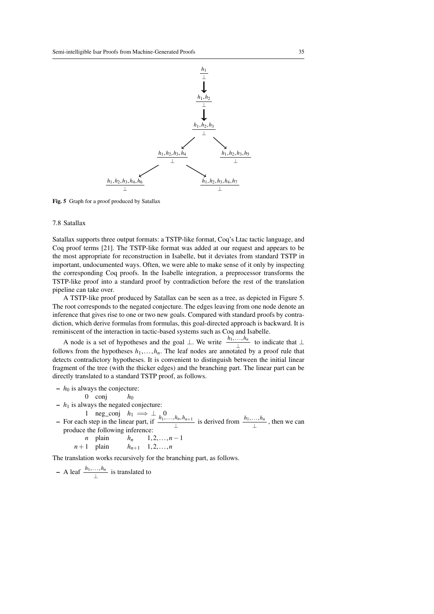

<span id="page-34-0"></span>Fig. 5 Graph for a proof produced by Satallax

#### 7.8 Satallax

Satallax supports three output formats: a TSTP-like format, Coq's Ltac tactic language, and Coq proof terms [\[21\]](#page-42-27). The TSTP-like format was added at our request and appears to be the most appropriate for reconstruction in Isabelle, but it deviates from standard TSTP in important, undocumented ways. Often, we were able to make sense of it only by inspecting the corresponding Coq proofs. In the Isabelle integration, a preprocessor transforms the TSTP-like proof into a standard proof by contradiction before the rest of the translation pipeline can take over.

A TSTP-like proof produced by Satallax can be seen as a tree, as depicted in Figure [5.](#page-34-0) The root corresponds to the negated conjecture. The edges leaving from one node denote an inference that gives rise to one or two new goals. Compared with standard proofs by contradiction, which derive formulas from formulas, this goal-directed approach is backward. It is reminiscent of the interaction in tactic-based systems such as Coq and Isabelle.

A node is a set of hypotheses and the goal  $\perp$ . We write  $\frac{h_1, \ldots, h_n}{\perp}$  to indicate that  $\perp$ follows from the hypotheses  $h_1, \ldots, h_n$ . The leaf nodes are annotated by a proof rule that detects contradictory hypotheses. It is convenient to distinguish between the initial linear fragment of the tree (with the thicker edges) and the branching part. The linear part can be directly translated to a standard TSTP proof, as follows.

- 
$$
h_0
$$
 is always the conjecture:

0 conj *h*<sup>0</sup>

- $h_1$  is always the negated conjecture:
	-
- 1 neg\_conj  $h_1$   $\Rightarrow$  ⊥  $\frac{1}{h_1, \dots, h_n, h_{n+1}}$  is derived from  $\frac{h_1, \dots, h_n}{\perp}$ , then we can produce the following inference:

*n* plain *h<sub>n</sub>* 1,2,...,*n*−1<br>*n*+1 plain *h<sub>n+1</sub>* 1,2,...,*n* 

 $h_{n+1}$  1,2,...,*n* 

The translation works recursively for the branching part, as follows.

 $-$  A leaf  $\frac{h_1, \ldots, h_n}{\perp}$  is translated to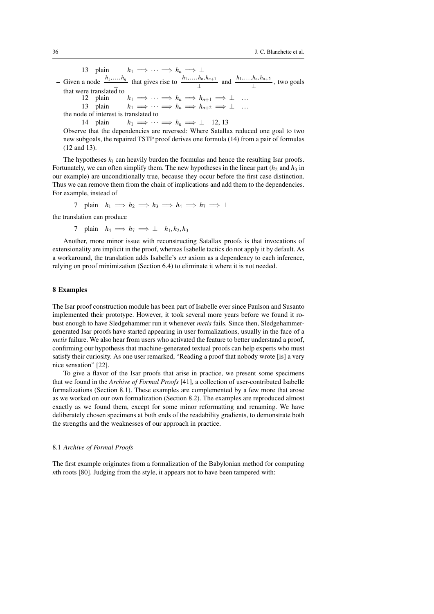13 plain  $h_1 \implies \cdots \implies h_n \implies \perp$ 

 $\frac{h_1, \ldots, h_n}{\frac{1}{h_1} + \cdots + h_n}$  that gives rise to  $\frac{h_1, \ldots, h_n, h_{n+1}}{\frac{1}{h_1} + \cdots + h_n}$  and  $\frac{h_1, \ldots, h_n, h_{n+2}}{\frac{1}{h_1} + \cdots + h_n}$ , two goals that were translated to  $12$  plain  $h_1 \implies \cdots \implies h_n \implies h_{n+1} \implies \perp \quad \ldots$ 13 plain  $h_1 \implies \cdots \implies h_n \implies h_{n+2} \implies \perp \cdots$ the node of interest is translated to

14 plain  $h_1 \implies \cdots \implies h_n \implies \perp$  12, 13

Observe that the dependencies are reversed: Where Satallax reduced one goal to two new subgoals, the repaired TSTP proof derives one formula (14) from a pair of formulas (12 and 13).

The hypotheses  $h_i$  can heavily burden the formulas and hence the resulting Isar proofs. Fortunately, we can often simplify them. The new hypotheses in the linear part  $(h_2$  and  $h_3$  in our example) are unconditionally true, because they occur before the first case distinction. Thus we can remove them from the chain of implications and add them to the dependencies. For example, instead of

7 plain 
$$
h_1 \implies h_2 \implies h_3 \implies h_4 \implies h_7 \implies \bot
$$

the translation can produce

7 plain  $h_4 \implies h_7 \implies \perp h_1, h_2, h_3$ 

Another, more minor issue with reconstructing Satallax proofs is that invocations of extensionality are implicit in the proof, whereas Isabelle tactics do not apply it by default. As a workaround, the translation adds Isabelle's *ext* axiom as a dependency to each inference, relying on proof minimization (Section [6.4\)](#page-26-0) to eliminate it where it is not needed.

#### <span id="page-35-0"></span>8 Examples

The Isar proof construction module has been part of Isabelle ever since Paulson and Susanto implemented their prototype. However, it took several more years before we found it robust enough to have Sledgehammer run it whenever *metis* fails. Since then, Sledgehammergenerated Isar proofs have started appearing in user formalizations, usually in the face of a *metis* failure. We also hear from users who activated the feature to better understand a proof, confirming our hypothesis that machine-generated textual proofs can help experts who must satisfy their curiosity. As one user remarked, "Reading a proof that nobody wrote [is] a very nice sensation" [\[22\]](#page-42-28).

To give a flavor of the Isar proofs that arise in practice, we present some specimens that we found in the *Archive of Formal Proofs* [\[41\]](#page-42-26), a collection of user-contributed Isabelle formalizations (Section [8.1\)](#page-35-1). These examples are complemented by a few more that arose as we worked on our own formalization (Section [8.2\)](#page-37-0). The examples are reproduced almost exactly as we found them, except for some minor reformatting and renaming. We have deliberately chosen specimens at both ends of the readability gradients, to demonstrate both the strengths and the weaknesses of our approach in practice.

#### <span id="page-35-1"></span>8.1 *Archive of Formal Proofs*

The first example originates from a formalization of the Babylonian method for computing *n*th roots [\[80\]](#page-44-10). Judging from the style, it appears not to have been tampered with: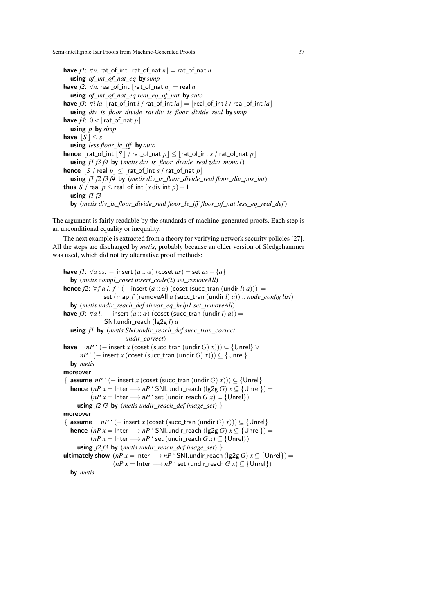have *f1*:  $\forall n$ . rat of int | rat\_of\_nat *n*| = rat\_of\_nat *n* using *of\_int\_of\_nat\_eq* by *simp* have  $f2$ :  $\forall n$ . real\_of\_int | rat\_of\_nat  $n$  | = real  $n$ using *of\_int\_of\_nat\_eq real\_eq\_of\_nat* by *auto* have  $f3$ :  $\forall i$  *ia*. | rat\_of\_int *i* / rat\_of\_int *ia* | = | real\_of\_int *i* / real\_of\_int *ia* | using *div\_is\_floor\_divide\_rat div\_is\_floor\_divide\_real* by *simp* have  $f4$ :  $0 < |$ rat\_of\_nat  $p|$ using *p* by *simp* have  $|S| < s$ using *less floor\_le\_iff* by *auto* hence  $|\text{rat_of\_int} |S| / \text{rat_of\_nat} p \le |\text{rat_of\_int} s / \text{rat_of\_nat} p|$ using *f1 f3 f4* by (*metis div\_is\_floor\_divide\_real zdiv\_mono1*) **hence**  $|S|$  / real  $p \leq |rat_of\_int s | rat_of\_nat p|$ using *f1 f2 f3 f4* by (*metis div\_is\_floor\_divide\_real floor\_div\_pos\_int*) **thus** *S* / real  $p \le$  real\_of\_int  $(s \text{ div int } p) + 1$ using *f1 f3* by (*metis div\_is\_floor\_divide\_real floor\_le\_iff floor\_of\_nat less\_eq\_real\_def*)

The argument is fairly readable by the standards of machine-generated proofs. Each step is an unconditional equality or inequality.

The next example is extracted from a theory for verifying network security policies [\[27\]](#page-42-29). All the steps are discharged by *metis*, probably because an older version of Sledgehammer was used, which did not try alternative proof methods:

have *f1*:  $\forall a \text{ as.}$  – insert  $(a:: a)$  (coset  $as$ ) = set  $as - \{a\}$ by (*metis compl\_coset insert\_code*(2) *set\_removeAll*) hence  $f2: \forall f a l. f' (-inset (a::a) (coset (succ tran (undir l) a))) =$ set (map *f* (removeAll *a* (succ\_tran (undir *l*) *a*)) :: *node\_config list*) by (*metis undir\_reach\_def sinvar\_eq\_help1 set\_removeAll*) have  $f3$ :  $\forall a \, l$ . – insert  $(a:: a)$  (coset (succ\_tran (undir *l*)  $a$ )) = SNI.undir\_reach (lg2g *l*) *a* using *f1* by (*metis SNI.undir\_reach\_def succ\_tran\_correct undir\_correct*) **have**  $\neg nP$  ' (− insert *x* (coset (succ\_tran (undir *G*) *x*))) ⊆ {Unrel} ∨ *nP* ' (− insert *x* (coset (succ\_tran (undir *G*) *x*))) ⊆ {Unrel} by *metis* moreover { assume  $nP^+$  (− insert *x* (coset (succ\_tran (undir *G*) *x*))) ⊆ {Unrel} hence  $(nP x = \text{Inter} \longrightarrow nP \text{ 'SNI}$ .undir\_reach (lg2g *G*)  $x \subseteq$  {Unrel}) =  $(nP x = Inter \rightarrow nP$  ' set (undir\_reach  $G x$ )  $\subseteq$  {Unrel}) using *f2 f3* by (*metis undir\_reach\_def image\_set*) } moreover { assume  $\neg nP$  ' (– insert *x* (coset (succ\_tran (undir *G*) *x*)))  $\subset$  {Unrel} hence  $(nP x =$  Inter →  $nP$  ' SNI.undir\_reach (lg2g *G*)  $x \subseteq$  {Unrel}) =  $(nP x = Inter \rightarrow nP \text{ 'set (undir\_reach } G x) \subseteq \{Unrel\})$ using *f2 f3* by (*metis undir\_reach\_def image\_set*) } ultimately show  $(nPx = \text{Inter} \rightarrow nP \text{ 'SNI}$ .undir\_reach (lg2g *G*)  $x \in$  {Unrel}) =  $(nP x = Inter \rightarrow nP \text{ 'set (undir\_reach } G x) \subseteq \{\text{Unrel}\})$ by *metis*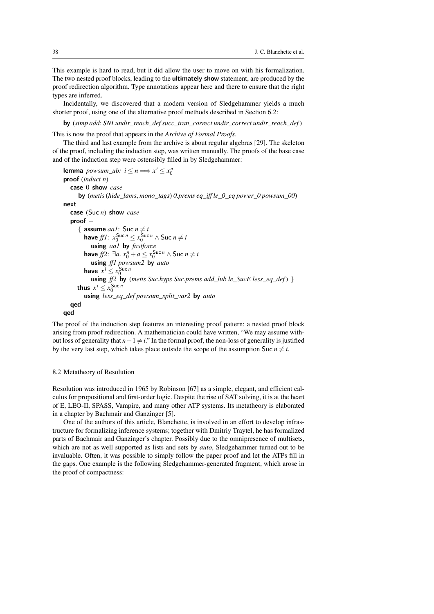This example is hard to read, but it did allow the user to move on with his formalization. The two nested proof blocks, leading to the **ultimately show** statement, are produced by the proof redirection algorithm. Type annotations appear here and there to ensure that the right types are inferred.

Incidentally, we discovered that a modern version of Sledgehammer yields a much shorter proof, using one of the alternative proof methods described in Section [6.2:](#page-25-0)

by (*simp add*: *SNI.undir\_reach\_def succ\_tran\_correct undir\_correct undir\_reach\_def*)

This is now the proof that appears in the *Archive of Formal Proofs*.

The third and last example from the archive is about regular algebras [\[29\]](#page-42-30). The skeleton of the proof, including the induction step, was written manually. The proofs of the base case and of the induction step were ostensibly filled in by Sledgehammer:

```
lemma powsum\_ub: i \leq n \Longrightarrow x^i \leq x_0^nproof (induct n)
   case 0 show case
      by (metis(hide_lams, mono_tags) 0.prems eq_iff le_0_eq power_0 powsum_00)
next
   case (Suc n) show case
   proof –
       { assume aa1: Suc n \neq ihave f\!fI: x_0^{\text{Suc }n} \leq x_0^{\text{Suc }n} \wedge \text{Suc }n \neq iusing aa1 by fastforce
          have ff2: \exists a. x_0^n + a \leq x_0^{\text{Suc } n} ∧ Suc n \neq i<br>using ff1 nowsum? by guto
            using ff1 powsum2 by auto
          have x^i \leq x_0^{\text{Suc } n}using ff2 by (metis Suc.hyps Suc.prems add_lub le_SucE less_eq_def) }
      thus x^i \leq x_0^{\text{Suc } n}using less_eq_def powsum_split_var2 by auto
   qed
qed
```
The proof of the induction step features an interesting proof pattern: a nested proof block arising from proof redirection. A mathematician could have written, "We may assume without loss of generality that  $n+1 \neq i$ ." In the formal proof, the non-loss of generality is justified by the very last step, which takes place outside the scope of the assumption Suc  $n \neq i$ .

## <span id="page-37-0"></span>8.2 Metatheory of Resolution

Resolution was introduced in 1965 by Robinson [\[67\]](#page-43-27) as a simple, elegant, and efficient calculus for propositional and first-order logic. Despite the rise of SAT solving, it is at the heart of E, LEO-II, SPASS, Vampire, and many other ATP systems. Its metatheory is elaborated in a chapter by Bachmair and Ganzinger [\[5\]](#page-41-12).

One of the authors of this article, Blanchette, is involved in an effort to develop infrastructure for formalizing inference systems; together with Dmitriy Traytel, he has formalized parts of Bachmair and Ganzinger's chapter. Possibly due to the omnipresence of multisets, which are not as well supported as lists and sets by *auto*, Sledgehammer turned out to be invaluable. Often, it was possible to simply follow the paper proof and let the ATPs fill in the gaps. One example is the following Sledgehammer-generated fragment, which arose in the proof of compactness: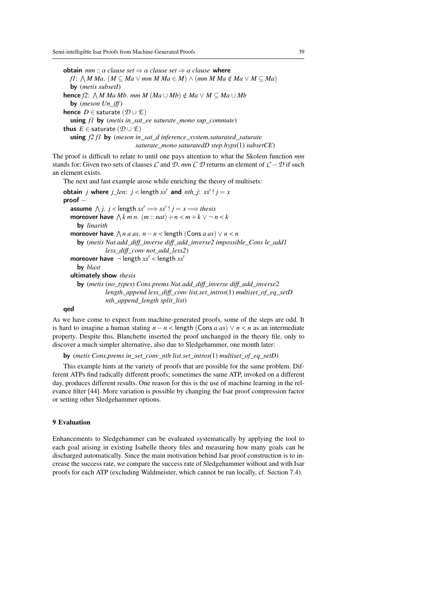**obtain**  $mm :: \alpha$  *clause set*  $\Rightarrow \alpha$  *clause set*  $\Rightarrow \alpha$  *clause* where *f1*:  $\bigwedge M$  *Ma*. ( $M \subseteq Ma \lor mm$  *M*  $Ma \in M$ )  $\land$  ( $mm$  *M Ma*  $\notin$  *Ma*  $\lor$  *M*  $\subseteq$  *Ma*) **h**y ( $met$ ) by (*metis subsetI*) **hence** *f*2:  $\bigwedge$ *M Ma Mb*. *mm M* (*Ma* ∪ *Mb*) ∉ *Ma* ∨ *M* ⊆ *Ma* ∪ *Mb*<br>**by** (meson Un iff) by (*meson Un\_iff*) **hence** *D* ∈ saturate  $(\mathcal{D} \cup \mathcal{E})$ using *f1* by (*metis in\_sat\_ee saturate\_mono sup\_commute*) thus *E* ∈ saturate  $(\mathcal{D} \cup \mathcal{E})$ using *f2 f1* by (*meson in\_sat\_d inference\_system.saturated\_saturate saturate\_mono saturatedD step.hyps*(1) *subsetCE*)

The proof is difficult to relate to until one pays attention to what the Skolem function *mm* stands for: Given two sets of clauses *C* and *D*, *mm C D* returns an element of  $C - D$  if such an element exists.

The next and last example arose while enriching the theory of multisets:

obtain *j* where  $j\_len: j <$  length  $xs'$  and  $nth\_j: xs' \mid j = x$ proof − **assume**  $\bigwedge j$ . *j* < length *xs'*  $\implies$  *xs'* ! *j* = *x*  $\implies$  *thesis*<br>**moreover have**  $\bigwedge k$  *m n* (*m* ∴ *nat*) + *n* < *m* + *k*  $\vee$  − *n* **moreover have**  $\bigwedge k m n$ .  $(m:: nat) + n < m + k \vee \neg n < k$ <br>by lingrith by *linarith* **moreover have**  $\bigwedge n$  *a as*.  $n - n <$  length (Cons *a as*) ∨  $n < n$ <br>by (metis Nat add, diff, inverse diff, add, inverse?) impossi by (*metis Nat.add\_diff\_inverse diff\_add\_inverse2 impossible\_Cons le\_add1 less\_diff\_conv not\_add\_less2*) moreover have  $\neg$  length  $xs' <$  length  $xs'$ by *blast* ultimately show *thesis* by (*metis* (*no\_types*) *Cons.prems Nat.add\_diff\_inverse diff\_add\_inverse2 length\_append less\_diff\_conv list.set\_intros*(1) *multiset\_of\_eq\_setD nth\_append\_length split\_list*) qed

As we have come to expect from machine-generated proofs, some of the steps are odd. It is hard to imagine a human stating *<sup>n</sup>* <sup>−</sup> *<sup>n</sup>* < length (Cons *<sup>a</sup> as*) <sup>∨</sup> *<sup>n</sup>* < *<sup>n</sup>* as an intermediate property. Despite this, Blanchette inserted the proof unchanged in the theory file, only to discover a much simpler alternative, also due to Sledgehammer, one month later:

by (*metis Cons.prems in\_set\_conv\_nth list.set\_intros*(1) *multiset\_of\_eq\_setD*)

This example hints at the variety of proofs that are possible for the same problem. Different ATPs find radically different proofs; sometimes the same ATP, invoked on a different day, produces different results. One reason for this is the use of machine learning in the relevance filter [\[44\]](#page-42-16). More variation is possible by changing the Isar proof compression factor or setting other Sledgehammer options.

#### <span id="page-38-0"></span>9 Evaluation

Enhancements to Sledgehammer can be evaluated systematically by applying the tool to each goal arising in existing Isabelle theory files and measuring how many goals can be discharged automatically. Since the main motivation behind Isar proof construction is to increase the success rate, we compare the success rate of Sledgehammer without and with Isar proofs for each ATP (excluding Waldmeister, which cannot be run locally, cf. Section [7.4\)](#page-30-0).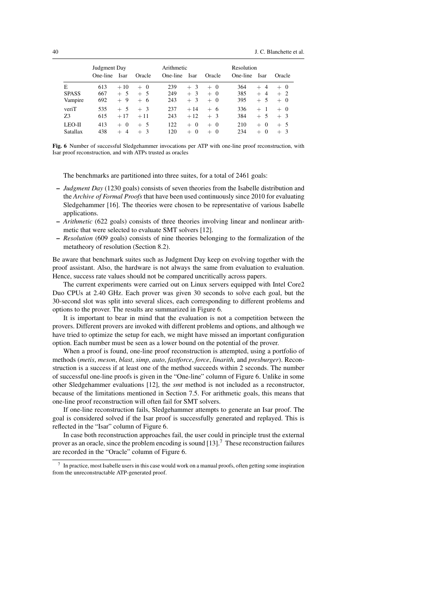|                    | Judgment Day<br>One-line | Isar                           | Oracle       | Arithmetic<br>One-line | Isar                           | Oracle         | Resolution<br>One-line | Isar                           | Oracle       |
|--------------------|--------------------------|--------------------------------|--------------|------------------------|--------------------------------|----------------|------------------------|--------------------------------|--------------|
| Е                  | 613                      | $+10$                          | $+ 0$        | 239                    | $+3$                           | $+ 0$          | 364                    | $+4$                           | $+ 0$        |
| <b>SPASS</b>       | 667                      | $+5$                           | $+5$         | 249                    | $+3$                           | $+ 0$          | 385                    | $+4$                           | $+2$         |
| Vampire            | 692                      | $+9$                           | $+6$         | 243                    | $+3$                           | $+ 0$          | 395                    | $+5$                           | $+ 0$        |
| veriT              | 535                      | $+5$                           | $+3$         | 237                    | $+14$                          | $+6$           | 336                    | $+1$                           | $+ 0$        |
| Z <sub>3</sub>     | 615                      | $+17$                          | $+11$        | 243                    | $+12$                          | $+3$           | 384                    | $+5$                           | $+3$         |
| LEO-II<br>Satallax | 413<br>438               | $+ 0$<br>$\overline{4}$<br>$+$ | $+5$<br>$+3$ | 122<br>120             | $+ 0$<br>$\overline{0}$<br>$+$ | $+ 0$<br>$+ 0$ | 210<br>234             | $+ 0$<br>$\overline{0}$<br>$+$ | $+5$<br>$+3$ |

<span id="page-39-0"></span>Fig. 6 Number of successful Sledgehammer invocations per ATP with one-line proof reconstruction, with Isar proof reconstruction, and with ATPs trusted as oracles

The benchmarks are partitioned into three suites, for a total of 2461 goals:

- *Judgment Day* (1230 goals) consists of seven theories from the Isabelle distribution and the *Archive of Formal Proofs* that have been used continuously since 2010 for evaluating Sledgehammer [\[16\]](#page-42-23). The theories were chosen to be representative of various Isabelle applications.
- *Arithmetic* (622 goals) consists of three theories involving linear and nonlinear arithmetic that were selected to evaluate SMT solvers [\[12\]](#page-41-0).
- *Resolution* (609 goals) consists of nine theories belonging to the formalization of the metatheory of resolution (Section [8.2\)](#page-37-0).

Be aware that benchmark suites such as Judgment Day keep on evolving together with the proof assistant. Also, the hardware is not always the same from evaluation to evaluation. Hence, success rate values should not be compared uncritically across papers.

The current experiments were carried out on Linux servers equipped with Intel Core2 Duo CPUs at 2.40 GHz. Each prover was given 30 seconds to solve each goal, but the 30-second slot was split into several slices, each corresponding to different problems and options to the prover. The results are summarized in Figure [6.](#page-39-0)

It is important to bear in mind that the evaluation is not a competition between the provers. Different provers are invoked with different problems and options, and although we have tried to optimize the setup for each, we might have missed an important configuration option. Each number must be seen as a lower bound on the potential of the prover.

When a proof is found, one-line proof reconstruction is attempted, using a portfolio of methods (*metis*, *meson*, *blast*, *simp*, *auto*, *fastforce*, *force*, *linarith*, and *presburger*). Reconstruction is a success if at least one of the method succeeds within 2 seconds. The number of successful one-line proofs is given in the "One-line" column of Figure [6.](#page-39-0) Unlike in some other Sledgehammer evaluations [\[12\]](#page-41-0), the *smt* method is not included as a reconstructor, because of the limitations mentioned in Section [7.5.](#page-31-0) For arithmetic goals, this means that one-line proof reconstruction will often fail for SMT solvers.

If one-line reconstruction fails, Sledgehammer attempts to generate an Isar proof. The goal is considered solved if the Isar proof is successfully generated and replayed. This is reflected in the "Isar" column of Figure [6.](#page-39-0)

In case both reconstruction approaches fail, the user could in principle trust the external prover as an oracle, since the problem encoding is sound  $[13]$ .<sup>[7](#page-39-1)</sup> These reconstruction failures are recorded in the "Oracle" column of Figure [6.](#page-39-0)

<span id="page-39-1"></span><sup>7</sup> In practice, most Isabelle users in this case would work on a manual proofs, often getting some inspiration from the unreconstructable ATP-generated proof.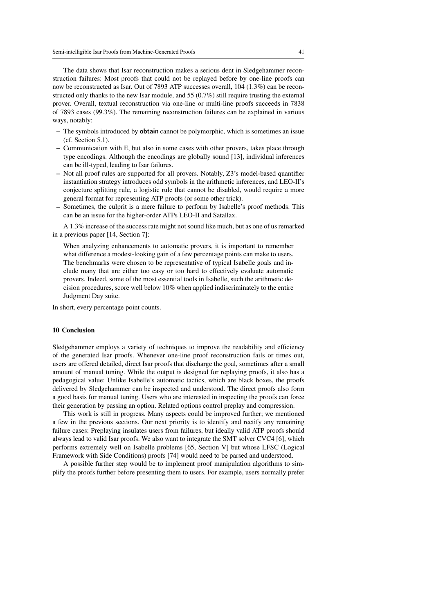The data shows that Isar reconstruction makes a serious dent in Sledgehammer reconstruction failures: Most proofs that could not be replayed before by one-line proofs can now be reconstructed as Isar. Out of 7893 ATP successes overall, 104 (1.3%) can be reconstructed only thanks to the new Isar module, and 55 (0.7%) still require trusting the external prover. Overall, textual reconstruction via one-line or multi-line proofs succeeds in 7838 of 7893 cases (99.3%). The remaining reconstruction failures can be explained in various ways, notably:

- The symbols introduced by obtain cannot be polymorphic, which is sometimes an issue (cf. Section [5.1\)](#page-21-2).
- Communication with E, but also in some cases with other provers, takes place through type encodings. Although the encodings are globally sound [\[13\]](#page-41-1), individual inferences can be ill-typed, leading to Isar failures.
- Not all proof rules are supported for all provers. Notably, Z3's model-based quantifier instantiation strategy introduces odd symbols in the arithmetic inferences, and LEO-II's conjecture splitting rule, a logistic rule that cannot be disabled, would require a more general format for representing ATP proofs (or some other trick).
- Sometimes, the culprit is a mere failure to perform by Isabelle's proof methods. This can be an issue for the higher-order ATPs LEO-II and Satallax.

A 1.3% increase of the success rate might not sound like much, but as one of us remarked in a previous paper [\[14,](#page-41-10) Section 7]:

When analyzing enhancements to automatic provers, it is important to remember what difference a modest-looking gain of a few percentage points can make to users. The benchmarks were chosen to be representative of typical Isabelle goals and include many that are either too easy or too hard to effectively evaluate automatic provers. Indeed, some of the most essential tools in Isabelle, such the arithmetic decision procedures, score well below 10% when applied indiscriminately to the entire Judgment Day suite.

In short, every percentage point counts.

#### 10 Conclusion

Sledgehammer employs a variety of techniques to improve the readability and efficiency of the generated Isar proofs. Whenever one-line proof reconstruction fails or times out, users are offered detailed, direct Isar proofs that discharge the goal, sometimes after a small amount of manual tuning. While the output is designed for replaying proofs, it also has a pedagogical value: Unlike Isabelle's automatic tactics, which are black boxes, the proofs delivered by Sledgehammer can be inspected and understood. The direct proofs also form a good basis for manual tuning. Users who are interested in inspecting the proofs can force their generation by passing an option. Related options control preplay and compression.

This work is still in progress. Many aspects could be improved further; we mentioned a few in the previous sections. Our next priority is to identify and rectify any remaining failure cases: Preplaying insulates users from failures, but ideally valid ATP proofs should always lead to valid Isar proofs. We also want to integrate the SMT solver CVC4 [\[6\]](#page-41-13), which performs extremely well on Isabelle problems [\[65,](#page-43-28) Section V] but whose LFSC (Logical Framework with Side Conditions) proofs [\[74\]](#page-43-29) would need to be parsed and understood.

A possible further step would be to implement proof manipulation algorithms to simplify the proofs further before presenting them to users. For example, users normally prefer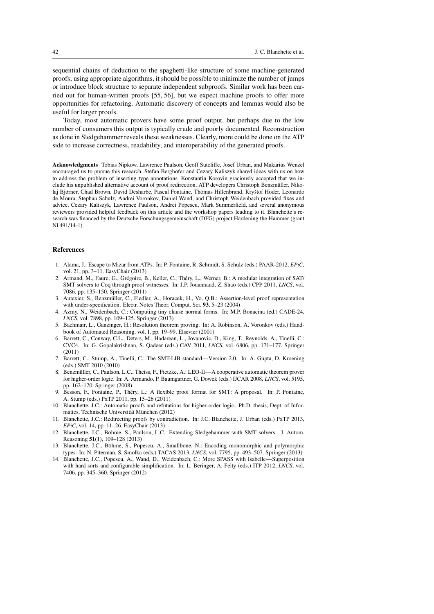sequential chains of deduction to the spaghetti-like structure of some machine-generated proofs; using appropriate algorithms, it should be possible to minimize the number of jumps or introduce block structure to separate independent subproofs. Similar work has been carried out for human-written proofs [\[55,](#page-43-30) [56\]](#page-43-31), but we expect machine proofs to offer more opportunities for refactoring. Automatic discovery of concepts and lemmas would also be useful for larger proofs.

Today, most automatic provers have some proof output, but perhaps due to the low number of consumers this output is typically crude and poorly documented. Reconstruction as done in Sledgehammer reveals these weaknesses. Clearly, more could be done on the ATP side to increase correctness, readability, and interoperability of the generated proofs.

Acknowledgments Tobias Nipkow, Lawrence Paulson, Geoff Sutcliffe, Josef Urban, and Makarius Wenzel encouraged us to pursue this research. Stefan Berghofer and Cezary Kaliszyk shared ideas with us on how to address the problem of inserting type annotations. Konstantin Korovin graciously accepted that we include his unpublished alternative account of proof redirection. ATP developers Christoph Benzmüller, Nikolaj Bjørner, Chad Brown, David Desharbe, Pascal Fontaine, Thomas Hillenbrand, Kryštof Hoder, Leonardo de Moura, Stephan Schulz, Andrei Voronkov, Daniel Wand, and Christoph Weidenbach provided fixes and advice. Cezary Kaliszyk, Lawrence Paulson, Andrei Popescu, Mark Summerfield, and several anonymous reviewers provided helpful feedback on this article and the workshop papers leading to it. Blanchette's research was financed by the Deutsche Forschungsgemeinschaft (DFG) project Hardening the Hammer (grant NI 491/14-1).

#### References

- <span id="page-41-7"></span>1. Alama, J.: Escape to Mizar from ATPs. In: P. Fontaine, R. Schmidt, S. Schulz (eds.) PAAR-2012, *EPiC*, vol. 21, pp. 3–11. EasyChair (2013)
- <span id="page-41-11"></span>2. Armand, M., Faure, G., Grégoire, B., Keller, C., Théry, L., Werner, B.: A modular integration of SAT/ SMT solvers to Coq through proof witnesses. In: J.P. Jouannaud, Z. Shao (eds.) CPP 2011, *LNCS*, vol. 7086, pp. 135–150. Springer (2011)
- <span id="page-41-8"></span>3. Autexier, S., Benzmüller, C., Fiedler, A., Horacek, H., Vo, Q.B.: Assertion-level proof representation with under-specification. Electr. Notes Theor. Comput. Sci. 93, 5–23 (2004)
- <span id="page-41-2"></span>4. Azmy, N., Weidenbach, C.: Computing tiny clause normal forms. In: M.P. Bonacina (ed.) CADE-24, *LNCS*, vol. 7898, pp. 109–125. Springer (2013)
- <span id="page-41-12"></span>5. Bachmair, L., Ganzinger, H.: Resolution theorem proving. In: A. Robinson, A. Voronkov (eds.) Handbook of Automated Reasoning, vol. I, pp. 19–99. Elsevier (2001)
- <span id="page-41-13"></span>6. Barrett, C., Conway, C.L., Deters, M., Hadarean, L., Jovanovic, D., King, T., Reynolds, A., Tinelli, C.: CVC4. In: G. Gopalakrishnan, S. Qadeer (eds.) CAV 2011, *LNCS*, vol. 6806, pp. 171–177. Springer (2011)
- <span id="page-41-9"></span>7. Barrett, C., Stump, A., Tinelli, C.: The SMT-LIB standard—Version 2.0. In: A. Gupta, D. Kroening (eds.) SMT 2010 (2010)
- <span id="page-41-4"></span>8. Benzmüller, C., Paulson, L.C., Theiss, F., Fietzke, A.: LEO-II—A cooperative automatic theorem prover for higher-order logic. In: A. Armando, P. Baumgartner, G. Dowek (eds.) IJCAR 2008, *LNCS*, vol. 5195, pp. 162–170. Springer (2008)
- <span id="page-41-3"></span>9. Besson, F., Fontaine, P., Théry, L.: A flexible proof format for SMT: A proposal. In: P. Fontaine, A. Stump (eds.) PxTP 2011, pp. 15–26 (2011)
- <span id="page-41-6"></span>10. Blanchette, J.C.: Automatic proofs and refutations for higher-order logic. Ph.D. thesis, Dept. of Informatics, Technische Universität München (2012)
- <span id="page-41-5"></span>11. Blanchette, J.C.: Redirecting proofs by contradiction. In: J.C. Blanchette, J. Urban (eds.) PxTP 2013, *EPiC*, vol. 14, pp. 11–26. EasyChair (2013)
- <span id="page-41-0"></span>12. Blanchette, J.C., Böhme, S., Paulson, L.C.: Extending Sledgehammer with SMT solvers. J. Autom. Reasoning 51(1), 109–128 (2013)
- <span id="page-41-1"></span>13. Blanchette, J.C., Böhme, S., Popescu, A., Smallbone, N.: Encoding monomorphic and polymorphic types. In: N. Piterman, S. Smolka (eds.) TACAS 2013, *LNCS*, vol. 7795, pp. 493–507. Springer (2013)
- <span id="page-41-10"></span>14. Blanchette, J.C., Popescu, A., Wand, D., Weidenbach, C.: More SPASS with Isabelle—Superposition with hard sorts and configurable simplification. In: L. Beringer, A. Felty (eds.) ITP 2012, *LNCS*, vol. 7406, pp. 345–360. Springer (2012)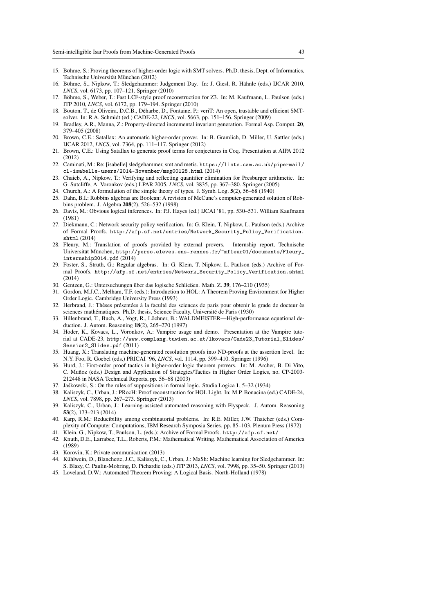- <span id="page-42-1"></span>15. Böhme, S.: Proving theorems of higher-order logic with SMT solvers. Ph.D. thesis, Dept. of Informatics, Technische Universität München (2012)
- <span id="page-42-23"></span>16. Böhme, S., Nipkow, T.: Sledgehammer: Judgement Day. In: J. Giesl, R. Hähnle (eds.) IJCAR 2010, *LNCS*, vol. 6173, pp. 107–121. Springer (2010)
- <span id="page-42-2"></span>17. Böhme, S., Weber, T.: Fast LCF-style proof reconstruction for Z3. In: M. Kaufmann, L. Paulson (eds.) ITP 2010, *LNCS*, vol. 6172, pp. 179–194. Springer (2010)
- <span id="page-42-5"></span>18. Bouton, T., de Oliveira, D.C.B., Déharbe, D., Fontaine, P.: veriT: An open, trustable and efficient SMTsolver. In: R.A. Schmidt (ed.) CADE-22, *LNCS*, vol. 5663, pp. 151–156. Springer (2009)
- <span id="page-42-22"></span>19. Bradley, A.R., Manna, Z.: Property-directed incremental invariant generation. Formal Asp. Comput. 20, 379–405 (2008)
- <span id="page-42-4"></span>20. Brown, C.E.: Satallax: An automatic higher-order prover. In: B. Gramlich, D. Miller, U. Sattler (eds.) IJCAR 2012, *LNCS*, vol. 7364, pp. 111–117. Springer (2012)
- <span id="page-42-27"></span>21. Brown, C.E.: Using Satallax to generate proof terms for conjectures in Coq. Presentation at AIPA 2012  $(2012)$
- <span id="page-42-28"></span>22. Caminati, M.: Re: [isabelle] sledgehammer, smt and metis. [https://lists.cam.ac.uk/pipermail/](https://lists.cam.ac.uk/pipermail/cl-isabelle-users/2014-November/msg00128.html) [cl-isabelle-users/2014-November/msg00128.html](https://lists.cam.ac.uk/pipermail/cl-isabelle-users/2014-November/msg00128.html) (2014)
- <span id="page-42-21"></span>23. Chaieb, A., Nipkow, T.: Verifying and reflecting quantifier elimination for Presburger arithmetic. In: G. Sutcliffe, A. Voronkov (eds.) LPAR 2005, *LNCS*, vol. 3835, pp. 367–380. Springer (2005)
- <span id="page-42-13"></span>24. Church, A.: A formulation of the simple theory of types. J. Symb. Log. 5(2), 56–68 (1940)
- <span id="page-42-11"></span>25. Dahn, B.I.: Robbins algebras are Boolean: A revision of McCune's computer-generated solution of Robbins problem. J. Algebra 208(2), 526–532 (1998)
- <span id="page-42-10"></span>26. Davis, M.: Obvious logical inferences. In: P.J. Hayes (ed.) IJCAI '81, pp. 530–531. William Kaufmann (1981)
- <span id="page-42-29"></span>27. Diekmann, C.: Network security policy verification. In: G. Klein, T. Nipkow, L. Paulson (eds.) Archive of Formal Proofs. [http://afp.sf.net/entries/Network\\_Security\\_Policy\\_Verification.](http://afp.sf.net/entries/Network_Security_Policy_Verification.shtml) [shtml](http://afp.sf.net/entries/Network_Security_Policy_Verification.shtml) (2014)
- <span id="page-42-6"></span>28. Fleury, M.: Translation of proofs provided by external provers. Internship report, Technische Universität München, [http://perso.eleves.ens-rennes.fr/~mfleur01/documents/Fleury\\_](http://perso.eleves.ens-rennes.fr/~mfleur01/documents/Fleury_internship2014.pdf) [internship2014.pdf](http://perso.eleves.ens-rennes.fr/~mfleur01/documents/Fleury_internship2014.pdf) (2014)
- <span id="page-42-30"></span>29. Foster, S., Struth, G.: Regular algebras. In: G. Klein, T. Nipkow, L. Paulson (eds.) Archive of Formal Proofs. [http://afp.sf.net/entries/Network\\_Security\\_Policy\\_Verification.shtml](http://afp.sf.net/entries/Network_Security_Policy_Verification.shtml) (2014)
- <span id="page-42-15"></span>30. Gentzen, G.: Untersuchungen über das logische Schließen. Math. Z. 39, 176–210 (1935)
- <span id="page-42-12"></span>31. Gordon, M.J.C., Melham, T.F. (eds.): Introduction to HOL: A Theorem Proving Environment for Higher Order Logic. Cambridge University Press (1993)
- <span id="page-42-19"></span>32. Herbrand, J.: Thèses présentées à la faculté des sciences de paris pour obtenir le grade de docteur ès sciences mathématiques. Ph.D. thesis, Science Faculty, Université de Paris (1930)
- <span id="page-42-3"></span>33. Hillenbrand, T., Buch, A., Vogt, R., Löchner, B.: WALDMEISTER—High-performance equational deduction. J. Autom. Reasoning 18(2), 265–270 (1997)
- <span id="page-42-25"></span>34. Hoder, K., Kovacs, L., Voronkov, A.: Vampire usage and demo. Presentation at the Vampire tutorial at CADE-23, [http://www.complang.tuwien.ac.at/lkovacs/Cade23\\_Tutorial\\_Slides/](http://www.complang.tuwien.ac.at/lkovacs/Cade23_Tutorial_Slides/Session2_Slides.pdf) [Session2\\_Slides.pdf](http://www.complang.tuwien.ac.at/lkovacs/Cade23_Tutorial_Slides/Session2_Slides.pdf) (2011)
- <span id="page-42-9"></span>35. Huang, X.: Translating machine-generated resolution proofs into ND-proofs at the assertion level. In: N.Y. Foo, R. Goebel (eds.) PRICAI '96, *LNCS*, vol. 1114, pp. 399–410. Springer (1996)
- <span id="page-42-0"></span>36. Hurd, J.: First-order proof tactics in higher-order logic theorem provers. In: M. Archer, B. Di Vito, C. Muñoz (eds.) Design and Application of Strategies/Tactics in Higher Order Logics, no. CP-2003- 212448 in NASA Technical Reports, pp. 56–68 (2003)
- <span id="page-42-14"></span>37. Jaskowski, S.: On the rules of suppositions in formal logic. Studia Logica 1, 5-32 (1934)
- <span id="page-42-7"></span>38. Kaliszyk, C., Urban, J.: PRocH: Proof reconstruction for HOL Light. In: M.P. Bonacina (ed.) CADE-24, *LNCS*, vol. 7898, pp. 267–273. Springer (2013)
- <span id="page-42-8"></span>39. Kaliszyk, C., Urban, J.: Learning-assisted automated reasoning with Flyspeck. J. Autom. Reasoning 53(2), 173–213 (2014)
- <span id="page-42-24"></span>40. Karp, R.M.: Reducibility among combinatorial problems. In: R.E. Miller, J.W. Thatcher (eds.) Complexity of Computer Computations, IBM Research Symposia Series, pp. 85–103. Plenum Press (1972)
- <span id="page-42-26"></span>41. Klein, G., Nipkow, T., Paulson, L. (eds.): Archive of Formal Proofs. <http://afp.sf.net/>
- <span id="page-42-17"></span>42. Knuth, D.E., Larrabee, T.L., Roberts, P.M.: Mathematical Writing. Mathematical Association of America (1989)
- <span id="page-42-18"></span>43. Korovin, K.: Private communication (2013)
- <span id="page-42-16"></span>44. Kühlwein, D., Blanchette, J.C., Kaliszyk, C., Urban, J.: MaSh: Machine learning for Sledgehammer. In: S. Blazy, C. Paulin-Mohring, D. Pichardie (eds.) ITP 2013, *LNCS*, vol. 7998, pp. 35–50. Springer (2013)
- <span id="page-42-20"></span>45. Loveland, D.W.: Automated Theorem Proving: A Logical Basis. North-Holland (1978)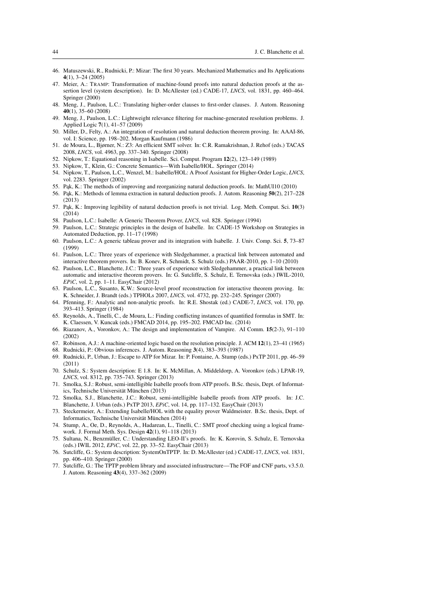- <span id="page-43-3"></span>46. Matuszewski, R., Rudnicki, P.: Mizar: The first 30 years. Mechanized Mathematics and Its Applications 4(1), 3–24 (2005)
- <span id="page-43-16"></span>47. Meier, A.: TRAMP: Transformation of machine-found proofs into natural deduction proofs at the assertion level (system description). In: D. McAllester (ed.) CADE-17, *LNCS*, vol. 1831, pp. 460–464. Springer (2000)
- <span id="page-43-19"></span>48. Meng, J., Paulson, L.C.: Translating higher-order clauses to first-order clauses. J. Autom. Reasoning 40(1), 35–60 (2008)
- <span id="page-43-18"></span>49. Meng, J., Paulson, L.C.: Lightweight relevance filtering for machine-generated resolution problems. J. Applied Logic 7(1), 41–57 (2009)
- <span id="page-43-14"></span>50. Miller, D., Felty, A.: An integration of resolution and natural deduction theorem proving. In: AAAI-86, vol. I: Science, pp. 198–202. Morgan Kaufmann (1986)
- <span id="page-43-5"></span>51. de Moura, L., Bjørner, N.: Z3: An efficient SMT solver. In: C.R. Ramakrishnan, J. Rehof (eds.) TACAS 2008, *LNCS*, vol. 4963, pp. 337–340. Springer (2008)
- <span id="page-43-23"></span>52. Nipkow, T.: Equational reasoning in Isabelle. Sci. Comput. Program 12(2), 123–149 (1989)
- <span id="page-43-1"></span>53. Nipkow, T., Klein, G.: Concrete Semantics—With Isabelle/HOL. Springer (2014)
- <span id="page-43-2"></span>54. Nipkow, T., Paulson, L.C., Wenzel, M.: Isabelle/HOL: A Proof Assistant for Higher-Order Logic, *LNCS*, vol. 2283. Springer (2002)
- <span id="page-43-30"></span>55. Pak, K.: The methods of improving and reorganizing natural deduction proofs. In: MathUI10 (2010)
- <span id="page-43-31"></span>56. Pak, K.: Methods of lemma extraction in natural deduction proofs. J. Autom. Reasoning 50(2), 217–228 (2013)
- <span id="page-43-20"></span>57. Pak, K.: Improving legibility of natural deduction proofs is not trivial. Log. Meth. Comput. Sci. 10(3)  $(2014)$
- <span id="page-43-24"></span>58. Paulson, L.C.: Isabelle: A Generic Theorem Prover, *LNCS*, vol. 828. Springer (1994)
- <span id="page-43-21"></span>59. Paulson, L.C.: Strategic principles in the design of Isabelle. In: CADE-15 Workshop on Strategies in Automated Deduction, pp. 11–17 (1998)
- <span id="page-43-22"></span>60. Paulson, L.C.: A generic tableau prover and its integration with Isabelle. J. Univ. Comp. Sci. 5, 73–87 (1999)
- <span id="page-43-9"></span>61. Paulson, L.C.: Three years of experience with Sledgehammer, a practical link between automated and interactive theorem provers. In: B. Konev, R. Schmidt, S. Schulz (eds.) PAAR-2010, pp. 1–10 (2010)
- <span id="page-43-0"></span>62. Paulson, L.C., Blanchette, J.C.: Three years of experience with Sledgehammer, a practical link between automatic and interactive theorem provers. In: G. Sutcliffe, S. Schulz, E. Ternovska (eds.) IWIL-2010, *EPiC*, vol. 2, pp. 1–11. EasyChair (2012)
- <span id="page-43-4"></span>63. Paulson, L.C., Susanto, K.W.: Source-level proof reconstruction for interactive theorem proving. In: K. Schneider, J. Brandt (eds.) TPHOLs 2007, *LNCS*, vol. 4732, pp. 232–245. Springer (2007)
- <span id="page-43-15"></span>64. Pfenning, F.: Analytic and non-analytic proofs. In: R.E. Shostak (ed.) CADE-7, *LNCS*, vol. 170, pp. 393–413. Springer (1984)
- <span id="page-43-28"></span>65. Reynolds, A., Tinelli, C., de Moura, L.: Finding conflicting instances of quantified formulas in SMT. In: K. Claessen, V. Kuncak (eds.) FMCAD 2014, pp. 195–202. FMCAD Inc. (2014)
- <span id="page-43-7"></span>66. Riazanov, A., Voronkov, A.: The design and implementation of Vampire. AI Comm. 15(2-3), 91–110 (2002)
- <span id="page-43-27"></span>67. Robinson, A.J.: A machine-oriented logic based on the resolution principle. J. ACM 12(1), 23–41 (1965)
- <span id="page-43-17"></span>68. Rudnicki, P.: Obvious inferences. J. Autom. Reasoning 3(4), 383–393 (1987)
- <span id="page-43-13"></span>69. Rudnicki, P., Urban, J.: Escape to ATP for Mizar. In: P. Fontaine, A. Stump (eds.) PxTP 2011, pp. 46–59 (2011)
- <span id="page-43-6"></span>70. Schulz, S.: System description: E 1.8. In: K. McMillan, A. Middeldorp, A. Voronkov (eds.) LPAR-19, *LNCS*, vol. 8312, pp. 735–743. Springer (2013)
- <span id="page-43-12"></span>71. Smolka, S.J.: Robust, semi-intelligible Isabelle proofs from ATP proofs. B.Sc. thesis, Dept. of Informatics, Technische Universität München (2013)
- <span id="page-43-10"></span>72. Smolka, S.J., Blanchette, J.C.: Robust, semi-intelligible Isabelle proofs from ATP proofs. In: J.C. Blanchette, J. Urban (eds.) PxTP 2013, *EPiC*, vol. 14, pp. 117–132. EasyChair (2013)
- <span id="page-43-11"></span>73. Steckermeier, A.: Extending Isabelle/HOL with the equality prover Waldmeister. B.Sc. thesis, Dept. of Informatics, Technische Universität München (2014)
- <span id="page-43-29"></span>74. Stump, A., Oe, D., Reynolds, A., Hadarean, L., Tinelli, C.: SMT proof checking using a logical framework. J. Formal Meth. Sys. Design 42(1), 91–118 (2013)
- <span id="page-43-26"></span>75. Sultana, N., Benzmüller, C.: Understanding LEO-II's proofs. In: K. Korovin, S. Schulz, E. Ternovska (eds.) IWIL 2012, *EPiC*, vol. 22, pp. 33–52. EasyChair (2013)
- <span id="page-43-25"></span>76. Sutcliffe, G.: System description: SystemOnTPTP. In: D. McAllester (ed.) CADE-17, *LNCS*, vol. 1831, pp. 406–410. Springer (2000)
- <span id="page-43-8"></span>77. Sutcliffe, G.: The TPTP problem library and associated infrastructure—The FOF and CNF parts, v3.5.0. J. Autom. Reasoning 43(4), 337–362 (2009)